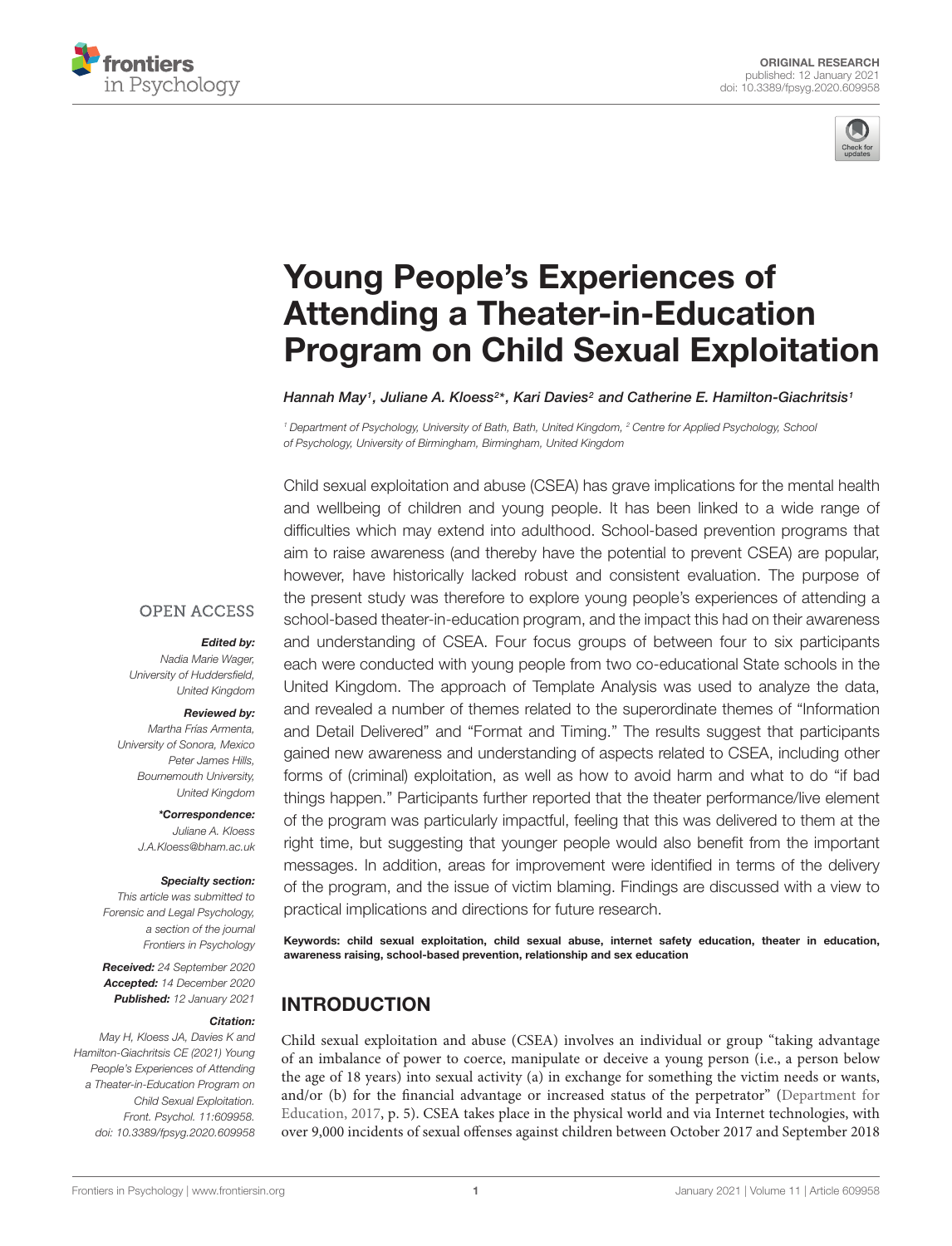



# Young People's Experiences of Attending a Theater-in-Education [Program on Child Sexual Exploitation](https://www.frontiersin.org/articles/10.3389/fpsyg.2020.609958/full)

Hannah May1, Juliane A. Kloess<sup>2\*</sup>, Kari Davies<sup>2</sup> and Catherine E. Hamilton-Giachritsis1

<sup>1</sup> Department of Psychology, University of Bath, Bath, United Kingdom, <sup>2</sup> Centre for Applied Psychology, School of Psychology, University of Birmingham, Birmingham, United Kingdom

Child sexual exploitation and abuse (CSEA) has grave implications for the mental health and wellbeing of children and young people. It has been linked to a wide range of difficulties which may extend into adulthood. School-based prevention programs that aim to raise awareness (and thereby have the potential to prevent CSEA) are popular, however, have historically lacked robust and consistent evaluation. The purpose of the present study was therefore to explore young people's experiences of attending a school-based theater-in-education program, and the impact this had on their awareness and understanding of CSEA. Four focus groups of between four to six participants each were conducted with young people from two co-educational State schools in the United Kingdom. The approach of Template Analysis was used to analyze the data, and revealed a number of themes related to the superordinate themes of "Information and Detail Delivered" and "Format and Timing." The results suggest that participants gained new awareness and understanding of aspects related to CSEA, including other forms of (criminal) exploitation, as well as how to avoid harm and what to do "if bad things happen." Participants further reported that the theater performance/live element of the program was particularly impactful, feeling that this was delivered to them at the right time, but suggesting that younger people would also benefit from the important messages. In addition, areas for improvement were identified in terms of the delivery of the program, and the issue of victim blaming. Findings are discussed with a view to practical implications and directions for future research.

Keywords: child sexual exploitation, child sexual abuse, internet safety education, theater in education, awareness raising, school-based prevention, relationship and sex education

# INTRODUCTION

Child sexual exploitation and abuse (CSEA) involves an individual or group "taking advantage of an imbalance of power to coerce, manipulate or deceive a young person (i.e., a person below the age of 18 years) into sexual activity (a) in exchange for something the victim needs or wants, and/or (b) for the financial advantage or increased status of the perpetrator" [\(Department for](#page-13-0) [Education,](#page-13-0) [2017,](#page-13-0) p. 5). CSEA takes place in the physical world and via Internet technologies, with over 9,000 incidents of sexual offenses against children between October 2017 and September 2018

### **OPEN ACCESS**

#### Edited by:

Nadia Marie Wager, University of Huddersfield, United Kingdom

#### Reviewed by:

Martha Frías Armenta, University of Sonora, Mexico Peter James Hills, Bournemouth University, United Kingdom

> \*Correspondence: Juliane A. Kloess J.A.Kloess@bham.ac.uk

#### Specialty section:

This article was submitted to Forensic and Legal Psychology, a section of the journal Frontiers in Psychology

Received: 24 September 2020 Accepted: 14 December 2020 Published: 12 January 2021

#### Citation:

May H, Kloess JA, Davies K and Hamilton-Giachritsis CE (2021) Young People's Experiences of Attending a Theater-in-Education Program on Child Sexual Exploitation. Front. Psychol. 11:609958. doi: [10.3389/fpsyg.2020.609958](https://doi.org/10.3389/fpsyg.2020.609958)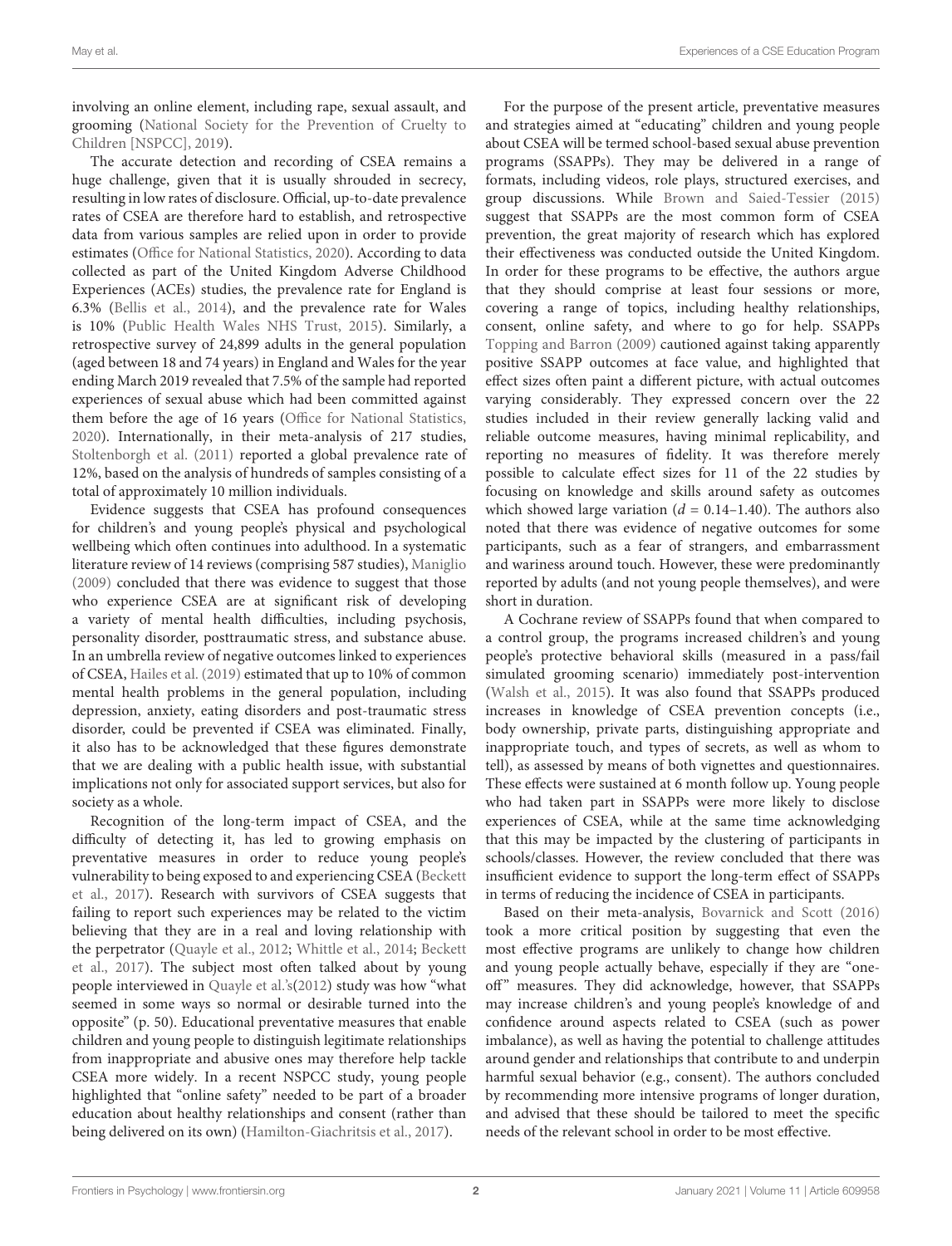involving an online element, including rape, sexual assault, and grooming [\(National Society for the Prevention of Cruelty to](#page-14-0) [Children \[NSPCC\],](#page-14-0) [2019\)](#page-14-0).

The accurate detection and recording of CSEA remains a huge challenge, given that it is usually shrouded in secrecy, resulting in low rates of disclosure. Official, up-to-date prevalence rates of CSEA are therefore hard to establish, and retrospective data from various samples are relied upon in order to provide estimates [\(Office for National Statistics,](#page-14-1) [2020\)](#page-14-1). According to data collected as part of the United Kingdom Adverse Childhood Experiences (ACEs) studies, the prevalence rate for England is 6.3% [\(Bellis et al.,](#page-13-1) [2014\)](#page-13-1), and the prevalence rate for Wales is 10% [\(Public Health Wales NHS Trust,](#page-14-2) [2015\)](#page-14-2). Similarly, a retrospective survey of 24,899 adults in the general population (aged between 18 and 74 years) in England and Wales for the year ending March 2019 revealed that 7.5% of the sample had reported experiences of sexual abuse which had been committed against them before the age of 16 years [\(Office for National Statistics,](#page-14-1) [2020\)](#page-14-1). Internationally, in their meta-analysis of 217 studies, [Stoltenborgh et al.](#page-14-3) [\(2011\)](#page-14-3) reported a global prevalence rate of 12%, based on the analysis of hundreds of samples consisting of a total of approximately 10 million individuals.

Evidence suggests that CSEA has profound consequences for children's and young people's physical and psychological wellbeing which often continues into adulthood. In a systematic literature review of 14 reviews (comprising 587 studies), [Maniglio](#page-14-4) [\(2009\)](#page-14-4) concluded that there was evidence to suggest that those who experience CSEA are at significant risk of developing a variety of mental health difficulties, including psychosis, personality disorder, posttraumatic stress, and substance abuse. In an umbrella review of negative outcomes linked to experiences of CSEA, [Hailes et al.](#page-13-2) [\(2019\)](#page-13-2) estimated that up to 10% of common mental health problems in the general population, including depression, anxiety, eating disorders and post-traumatic stress disorder, could be prevented if CSEA was eliminated. Finally, it also has to be acknowledged that these figures demonstrate that we are dealing with a public health issue, with substantial implications not only for associated support services, but also for society as a whole.

Recognition of the long-term impact of CSEA, and the difficulty of detecting it, has led to growing emphasis on preventative measures in order to reduce young people's vulnerability to being exposed to and experiencing CSEA [\(Beckett](#page-13-3) [et al.,](#page-13-3) [2017\)](#page-13-3). Research with survivors of CSEA suggests that failing to report such experiences may be related to the victim believing that they are in a real and loving relationship with the perpetrator [\(Quayle et al.,](#page-14-5) [2012;](#page-14-5) [Whittle et al.,](#page-14-6) [2014;](#page-14-6) [Beckett](#page-13-3) [et al.,](#page-13-3) [2017\)](#page-13-3). The subject most often talked about by young people interviewed in [Quayle et al.'](#page-14-5)s[\(2012\)](#page-14-5) study was how "what seemed in some ways so normal or desirable turned into the opposite" (p. 50). Educational preventative measures that enable children and young people to distinguish legitimate relationships from inappropriate and abusive ones may therefore help tackle CSEA more widely. In a recent NSPCC study, young people highlighted that "online safety" needed to be part of a broader education about healthy relationships and consent (rather than being delivered on its own) [\(Hamilton-Giachritsis et al.,](#page-13-4) [2017\)](#page-13-4).

For the purpose of the present article, preventative measures and strategies aimed at "educating" children and young people about CSEA will be termed school-based sexual abuse prevention programs (SSAPPs). They may be delivered in a range of formats, including videos, role plays, structured exercises, and group discussions. While [Brown and Saied-Tessier](#page-13-5) [\(2015\)](#page-13-5) suggest that SSAPPs are the most common form of CSEA prevention, the great majority of research which has explored their effectiveness was conducted outside the United Kingdom. In order for these programs to be effective, the authors argue that they should comprise at least four sessions or more, covering a range of topics, including healthy relationships, consent, online safety, and where to go for help. SSAPPs [Topping and Barron](#page-14-7) [\(2009\)](#page-14-7) cautioned against taking apparently positive SSAPP outcomes at face value, and highlighted that effect sizes often paint a different picture, with actual outcomes varying considerably. They expressed concern over the 22 studies included in their review generally lacking valid and reliable outcome measures, having minimal replicability, and reporting no measures of fidelity. It was therefore merely possible to calculate effect sizes for 11 of the 22 studies by focusing on knowledge and skills around safety as outcomes which showed large variation ( $d = 0.14$ –1.40). The authors also noted that there was evidence of negative outcomes for some participants, such as a fear of strangers, and embarrassment and wariness around touch. However, these were predominantly reported by adults (and not young people themselves), and were short in duration.

A Cochrane review of SSAPPs found that when compared to a control group, the programs increased children's and young people's protective behavioral skills (measured in a pass/fail simulated grooming scenario) immediately post-intervention [\(Walsh et al.,](#page-14-8) [2015\)](#page-14-8). It was also found that SSAPPs produced increases in knowledge of CSEA prevention concepts (i.e., body ownership, private parts, distinguishing appropriate and inappropriate touch, and types of secrets, as well as whom to tell), as assessed by means of both vignettes and questionnaires. These effects were sustained at 6 month follow up. Young people who had taken part in SSAPPs were more likely to disclose experiences of CSEA, while at the same time acknowledging that this may be impacted by the clustering of participants in schools/classes. However, the review concluded that there was insufficient evidence to support the long-term effect of SSAPPs in terms of reducing the incidence of CSEA in participants.

Based on their meta-analysis, [Bovarnick and Scott](#page-13-6) [\(2016\)](#page-13-6) took a more critical position by suggesting that even the most effective programs are unlikely to change how children and young people actually behave, especially if they are "oneoff" measures. They did acknowledge, however, that SSAPPs may increase children's and young people's knowledge of and confidence around aspects related to CSEA (such as power imbalance), as well as having the potential to challenge attitudes around gender and relationships that contribute to and underpin harmful sexual behavior (e.g., consent). The authors concluded by recommending more intensive programs of longer duration, and advised that these should be tailored to meet the specific needs of the relevant school in order to be most effective.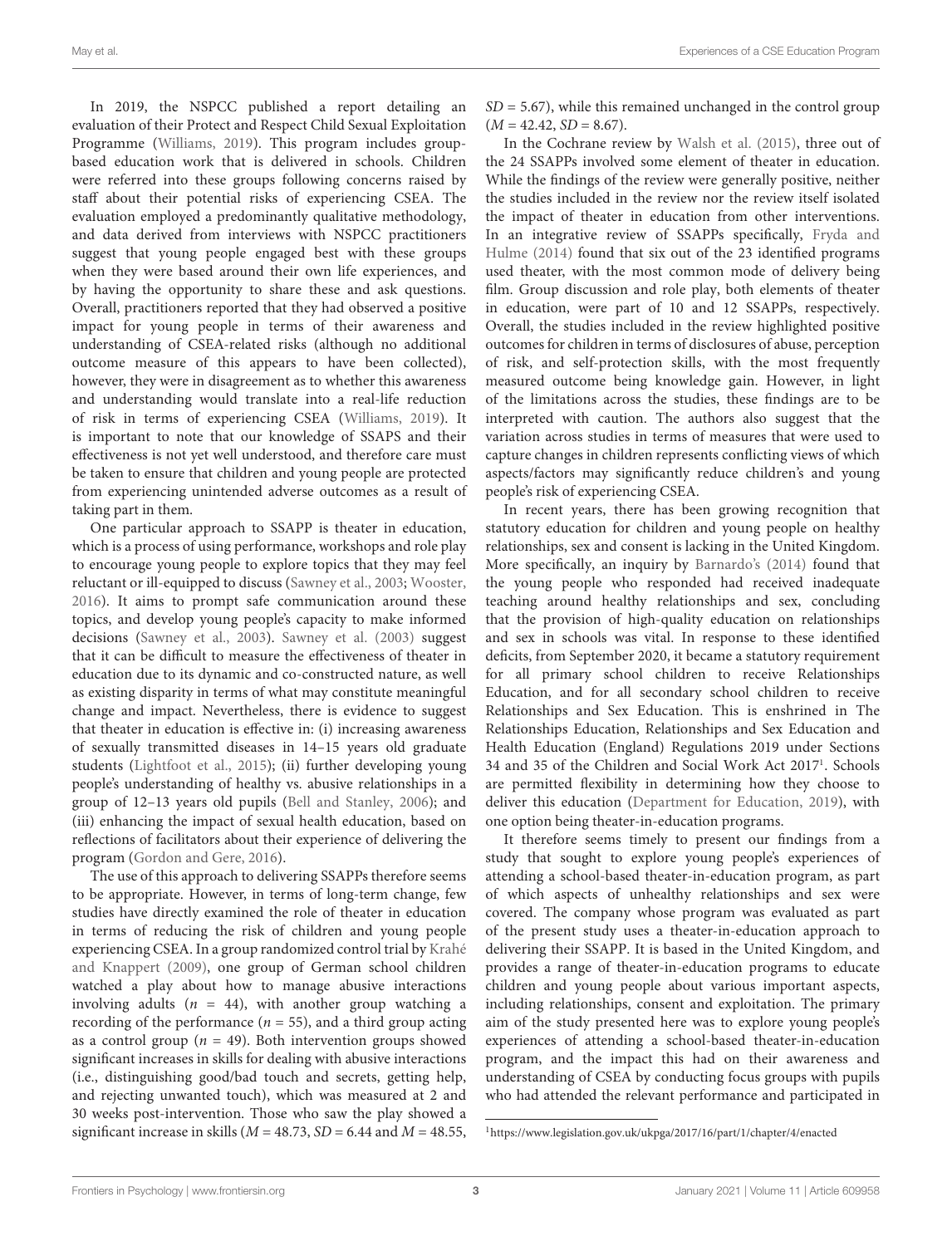In 2019, the NSPCC published a report detailing an evaluation of their Protect and Respect Child Sexual Exploitation Programme [\(Williams,](#page-14-9) [2019\)](#page-14-9). This program includes groupbased education work that is delivered in schools. Children were referred into these groups following concerns raised by staff about their potential risks of experiencing CSEA. The evaluation employed a predominantly qualitative methodology, and data derived from interviews with NSPCC practitioners suggest that young people engaged best with these groups when they were based around their own life experiences, and by having the opportunity to share these and ask questions. Overall, practitioners reported that they had observed a positive impact for young people in terms of their awareness and understanding of CSEA-related risks (although no additional outcome measure of this appears to have been collected), however, they were in disagreement as to whether this awareness and understanding would translate into a real-life reduction of risk in terms of experiencing CSEA [\(Williams,](#page-14-9) [2019\)](#page-14-9). It is important to note that our knowledge of SSAPS and their effectiveness is not yet well understood, and therefore care must be taken to ensure that children and young people are protected from experiencing unintended adverse outcomes as a result of taking part in them.

One particular approach to SSAPP is theater in education, which is a process of using performance, workshops and role play to encourage young people to explore topics that they may feel reluctant or ill-equipped to discuss [\(Sawney et al.,](#page-14-10) [2003;](#page-14-10) [Wooster,](#page-14-11) [2016\)](#page-14-11). It aims to prompt safe communication around these topics, and develop young people's capacity to make informed decisions [\(Sawney et al.,](#page-14-10) [2003\)](#page-14-10). [Sawney et al.](#page-14-10) [\(2003\)](#page-14-10) suggest that it can be difficult to measure the effectiveness of theater in education due to its dynamic and co-constructed nature, as well as existing disparity in terms of what may constitute meaningful change and impact. Nevertheless, there is evidence to suggest that theater in education is effective in: (i) increasing awareness of sexually transmitted diseases in 14–15 years old graduate students [\(Lightfoot et al.,](#page-14-12) [2015\)](#page-14-12); (ii) further developing young people's understanding of healthy vs. abusive relationships in a group of 12–13 years old pupils [\(Bell and Stanley,](#page-13-7) [2006\)](#page-13-7); and (iii) enhancing the impact of sexual health education, based on reflections of facilitators about their experience of delivering the program [\(Gordon and Gere,](#page-13-8) [2016\)](#page-13-8).

The use of this approach to delivering SSAPPs therefore seems to be appropriate. However, in terms of long-term change, few studies have directly examined the role of theater in education in terms of reducing the risk of children and young people experiencing CSEA. In a group randomized control trial by [Krahé](#page-13-9) [and Knappert](#page-13-9) [\(2009\)](#page-13-9), one group of German school children watched a play about how to manage abusive interactions involving adults ( $n = 44$ ), with another group watching a recording of the performance ( $n = 55$ ), and a third group acting as a control group ( $n = 49$ ). Both intervention groups showed significant increases in skills for dealing with abusive interactions (i.e., distinguishing good/bad touch and secrets, getting help, and rejecting unwanted touch), which was measured at 2 and 30 weeks post-intervention. Those who saw the play showed a significant increase in skills ( $M = 48.73$ ,  $SD = 6.44$  and  $M = 48.55$ ,  $SD = 5.67$ ), while this remained unchanged in the control group  $(M = 42.42, SD = 8.67).$ 

In the Cochrane review by [Walsh et al.](#page-14-8) [\(2015\)](#page-14-8), three out of the 24 SSAPPs involved some element of theater in education. While the findings of the review were generally positive, neither the studies included in the review nor the review itself isolated the impact of theater in education from other interventions. In an integrative review of SSAPPs specifically, [Fryda and](#page-13-10) [Hulme](#page-13-10) [\(2014\)](#page-13-10) found that six out of the 23 identified programs used theater, with the most common mode of delivery being film. Group discussion and role play, both elements of theater in education, were part of 10 and 12 SSAPPs, respectively. Overall, the studies included in the review highlighted positive outcomes for children in terms of disclosures of abuse, perception of risk, and self-protection skills, with the most frequently measured outcome being knowledge gain. However, in light of the limitations across the studies, these findings are to be interpreted with caution. The authors also suggest that the variation across studies in terms of measures that were used to capture changes in children represents conflicting views of which aspects/factors may significantly reduce children's and young people's risk of experiencing CSEA.

In recent years, there has been growing recognition that statutory education for children and young people on healthy relationships, sex and consent is lacking in the United Kingdom. More specifically, an inquiry by [Barnardo's](#page-13-11) [\(2014\)](#page-13-11) found that the young people who responded had received inadequate teaching around healthy relationships and sex, concluding that the provision of high-quality education on relationships and sex in schools was vital. In response to these identified deficits, from September 2020, it became a statutory requirement for all primary school children to receive Relationships Education, and for all secondary school children to receive Relationships and Sex Education. This is enshrined in The Relationships Education, Relationships and Sex Education and Health Education (England) Regulations 2019 under Sections 34 and 35 of the Children and Social Work Act 20[1](#page-2-0)7<sup>1</sup>. Schools are permitted flexibility in determining how they choose to deliver this education [\(Department for Education,](#page-13-12) [2019\)](#page-13-12), with one option being theater-in-education programs.

It therefore seems timely to present our findings from a study that sought to explore young people's experiences of attending a school-based theater-in-education program, as part of which aspects of unhealthy relationships and sex were covered. The company whose program was evaluated as part of the present study uses a theater-in-education approach to delivering their SSAPP. It is based in the United Kingdom, and provides a range of theater-in-education programs to educate children and young people about various important aspects, including relationships, consent and exploitation. The primary aim of the study presented here was to explore young people's experiences of attending a school-based theater-in-education program, and the impact this had on their awareness and understanding of CSEA by conducting focus groups with pupils who had attended the relevant performance and participated in

<span id="page-2-0"></span><sup>1</sup><https://www.legislation.gov.uk/ukpga/2017/16/part/1/chapter/4/enacted>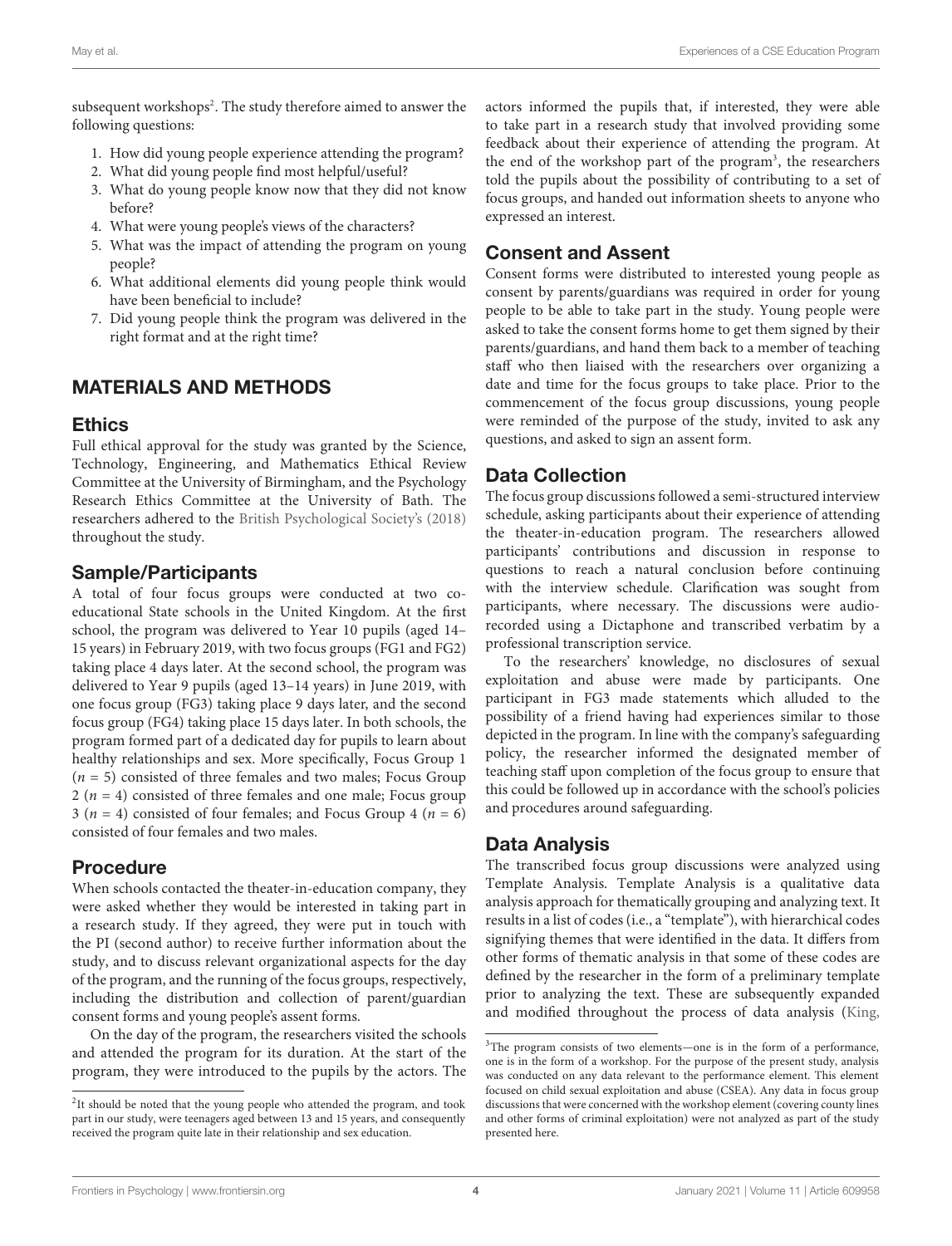subsequent workshops<sup>[2](#page-3-0)</sup>. The study therefore aimed to answer the following questions:

- 1. How did young people experience attending the program?
- 2. What did young people find most helpful/useful?
- 3. What do young people know now that they did not know before?
- 4. What were young people's views of the characters?
- 5. What was the impact of attending the program on young people?
- 6. What additional elements did young people think would have been beneficial to include?
- 7. Did young people think the program was delivered in the right format and at the right time?

# MATERIALS AND METHODS

### **Ethics**

Full ethical approval for the study was granted by the Science, Technology, Engineering, and Mathematics Ethical Review Committee at the University of Birmingham, and the Psychology Research Ethics Committee at the University of Bath. The researchers adhered to the [British Psychological Society'](#page-13-13)s [\(2018\)](#page-13-13) throughout the study.

# Sample/Participants

A total of four focus groups were conducted at two coeducational State schools in the United Kingdom. At the first school, the program was delivered to Year 10 pupils (aged 14– 15 years) in February 2019, with two focus groups (FG1 and FG2) taking place 4 days later. At the second school, the program was delivered to Year 9 pupils (aged 13–14 years) in June 2019, with one focus group (FG3) taking place 9 days later, and the second focus group (FG4) taking place 15 days later. In both schools, the program formed part of a dedicated day for pupils to learn about healthy relationships and sex. More specifically, Focus Group 1  $(n = 5)$  consisted of three females and two males; Focus Group 2 ( $n = 4$ ) consisted of three females and one male; Focus group 3 ( $n = 4$ ) consisted of four females; and Focus Group 4 ( $n = 6$ ) consisted of four females and two males.

# Procedure

When schools contacted the theater-in-education company, they were asked whether they would be interested in taking part in a research study. If they agreed, they were put in touch with the PI (second author) to receive further information about the study, and to discuss relevant organizational aspects for the day of the program, and the running of the focus groups, respectively, including the distribution and collection of parent/guardian consent forms and young people's assent forms.

On the day of the program, the researchers visited the schools and attended the program for its duration. At the start of the program, they were introduced to the pupils by the actors. The actors informed the pupils that, if interested, they were able to take part in a research study that involved providing some feedback about their experience of attending the program. At the end of the workshop part of the program<sup>[3](#page-3-1)</sup>, the researchers told the pupils about the possibility of contributing to a set of focus groups, and handed out information sheets to anyone who expressed an interest.

# Consent and Assent

Consent forms were distributed to interested young people as consent by parents/guardians was required in order for young people to be able to take part in the study. Young people were asked to take the consent forms home to get them signed by their parents/guardians, and hand them back to a member of teaching staff who then liaised with the researchers over organizing a date and time for the focus groups to take place. Prior to the commencement of the focus group discussions, young people were reminded of the purpose of the study, invited to ask any questions, and asked to sign an assent form.

# Data Collection

The focus group discussions followed a semi-structured interview schedule, asking participants about their experience of attending the theater-in-education program. The researchers allowed participants' contributions and discussion in response to questions to reach a natural conclusion before continuing with the interview schedule. Clarification was sought from participants, where necessary. The discussions were audiorecorded using a Dictaphone and transcribed verbatim by a professional transcription service.

To the researchers' knowledge, no disclosures of sexual exploitation and abuse were made by participants. One participant in FG3 made statements which alluded to the possibility of a friend having had experiences similar to those depicted in the program. In line with the company's safeguarding policy, the researcher informed the designated member of teaching staff upon completion of the focus group to ensure that this could be followed up in accordance with the school's policies and procedures around safeguarding.

# Data Analysis

The transcribed focus group discussions were analyzed using Template Analysis. Template Analysis is a qualitative data analysis approach for thematically grouping and analyzing text. It results in a list of codes (i.e., a "template"), with hierarchical codes signifying themes that were identified in the data. It differs from other forms of thematic analysis in that some of these codes are defined by the researcher in the form of a preliminary template prior to analyzing the text. These are subsequently expanded and modified throughout the process of data analysis [\(King,](#page-13-14)

<span id="page-3-0"></span><sup>&</sup>lt;sup>2</sup>It should be noted that the young people who attended the program, and took part in our study, were teenagers aged between 13 and 15 years, and consequently received the program quite late in their relationship and sex education.

<span id="page-3-1"></span> $3$ The program consists of two elements—one is in the form of a performance, one is in the form of a workshop. For the purpose of the present study, analysis was conducted on any data relevant to the performance element. This element focused on child sexual exploitation and abuse (CSEA). Any data in focus group discussions that were concerned with the workshop element (covering county lines and other forms of criminal exploitation) were not analyzed as part of the study presented here.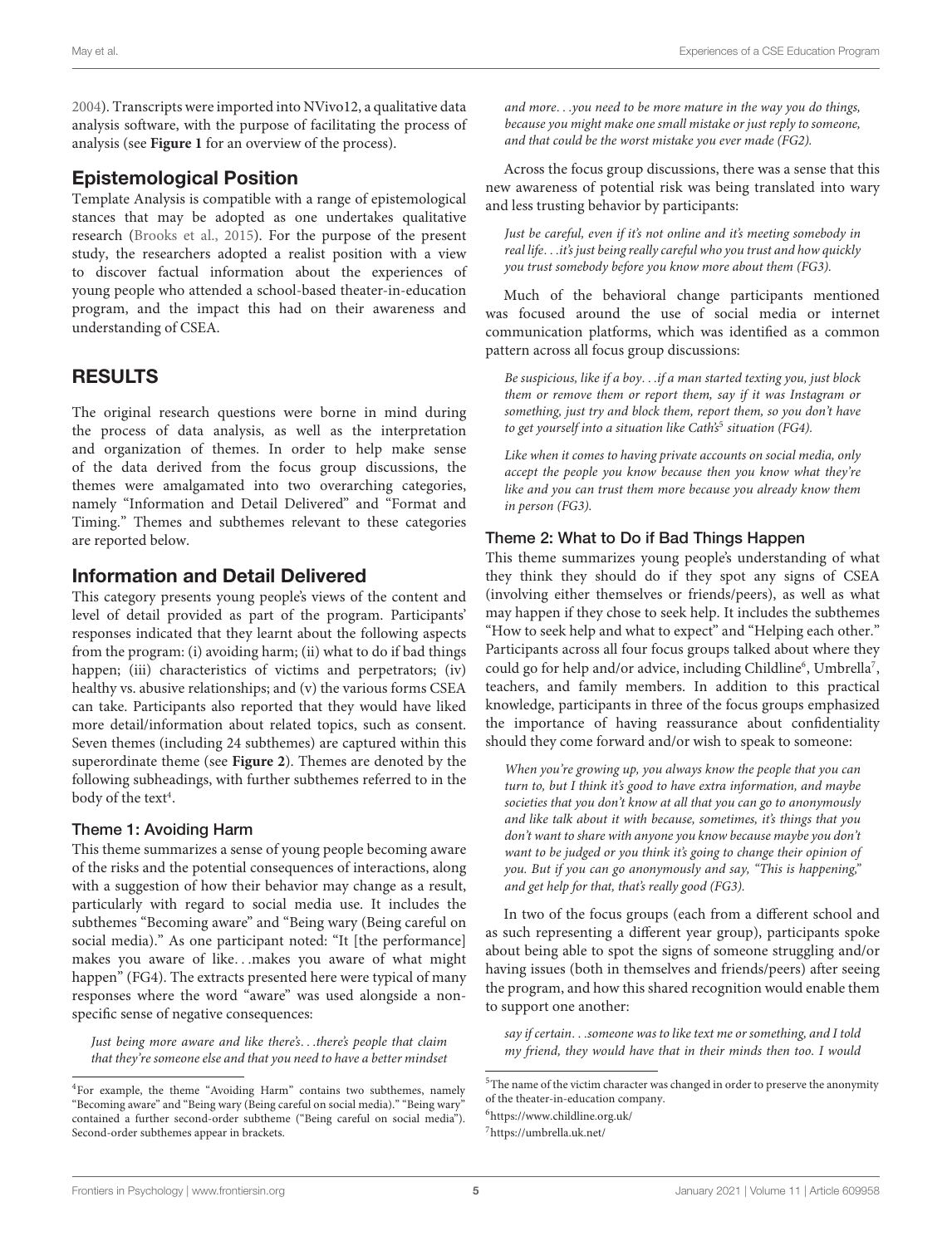[2004\)](#page-13-14). Transcripts were imported into NVivo12, a qualitative data analysis software, with the purpose of facilitating the process of analysis (see **[Figure 1](#page-5-0)** for an overview of the process).

# Epistemological Position

Template Analysis is compatible with a range of epistemological stances that may be adopted as one undertakes qualitative research [\(Brooks et al.,](#page-13-15) [2015\)](#page-13-15). For the purpose of the present study, the researchers adopted a realist position with a view to discover factual information about the experiences of young people who attended a school-based theater-in-education program, and the impact this had on their awareness and understanding of CSEA.

# RESULTS

The original research questions were borne in mind during the process of data analysis, as well as the interpretation and organization of themes. In order to help make sense of the data derived from the focus group discussions, the themes were amalgamated into two overarching categories, namely "Information and Detail Delivered" and "Format and Timing." Themes and subthemes relevant to these categories are reported below.

# Information and Detail Delivered

This category presents young people's views of the content and level of detail provided as part of the program. Participants' responses indicated that they learnt about the following aspects from the program: (i) avoiding harm; (ii) what to do if bad things happen; (iii) characteristics of victims and perpetrators; (iv) healthy vs. abusive relationships; and (v) the various forms CSEA can take. Participants also reported that they would have liked more detail/information about related topics, such as consent. Seven themes (including 24 subthemes) are captured within this superordinate theme (see **[Figure 2](#page-6-0)**). Themes are denoted by the following subheadings, with further subthemes referred to in the body of the text<sup>[4](#page-4-0)</sup>.

### Theme 1: Avoiding Harm

This theme summarizes a sense of young people becoming aware of the risks and the potential consequences of interactions, along with a suggestion of how their behavior may change as a result, particularly with regard to social media use. It includes the subthemes "Becoming aware" and "Being wary (Being careful on social media)." As one participant noted: "It [the performance] makes you aware of like. . .makes you aware of what might happen" (FG4). The extracts presented here were typical of many responses where the word "aware" was used alongside a nonspecific sense of negative consequences:

Just being more aware and like there's. . .there's people that claim that they're someone else and that you need to have a better mindset and more. . .you need to be more mature in the way you do things, because you might make one small mistake or just reply to someone, and that could be the worst mistake you ever made (FG2).

Across the focus group discussions, there was a sense that this new awareness of potential risk was being translated into wary and less trusting behavior by participants:

Just be careful, even if it's not online and it's meeting somebody in real life. . .it's just being really careful who you trust and how quickly you trust somebody before you know more about them (FG3).

Much of the behavioral change participants mentioned was focused around the use of social media or internet communication platforms, which was identified as a common pattern across all focus group discussions:

Be suspicious, like if a boy. . .if a man started texting you, just block them or remove them or report them, say if it was Instagram or something, just try and block them, report them, so you don't have to get yourself into a situation like Cath's<sup>[5](#page-4-1)</sup> situation (FG4).

Like when it comes to having private accounts on social media, only accept the people you know because then you know what they're like and you can trust them more because you already know them in person (FG3).

### Theme 2: What to Do if Bad Things Happen

This theme summarizes young people's understanding of what they think they should do if they spot any signs of CSEA (involving either themselves or friends/peers), as well as what may happen if they chose to seek help. It includes the subthemes "How to seek help and what to expect" and "Helping each other." Participants across all four focus groups talked about where they could go for help and/or advice, including Childline<sup>[6](#page-4-2)</sup>, Umbrella<sup>[7](#page-4-3)</sup>, teachers, and family members. In addition to this practical knowledge, participants in three of the focus groups emphasized the importance of having reassurance about confidentiality should they come forward and/or wish to speak to someone:

When you're growing up, you always know the people that you can turn to, but I think it's good to have extra information, and maybe societies that you don't know at all that you can go to anonymously and like talk about it with because, sometimes, it's things that you don't want to share with anyone you know because maybe you don't want to be judged or you think it's going to change their opinion of you. But if you can go anonymously and say, "This is happening," and get help for that, that's really good (FG3).

In two of the focus groups (each from a different school and as such representing a different year group), participants spoke about being able to spot the signs of someone struggling and/or having issues (both in themselves and friends/peers) after seeing the program, and how this shared recognition would enable them to support one another:

say if certain. . .someone was to like text me or something, and I told my friend, they would have that in their minds then too. I would

<span id="page-4-0"></span><sup>4</sup>For example, the theme "Avoiding Harm" contains two subthemes, namely "Becoming aware" and "Being wary (Being careful on social media)." "Being wary" contained a further second-order subtheme ("Being careful on social media"). Second-order subthemes appear in brackets.

<span id="page-4-1"></span> ${\rm ^5The}$  name of the victim character was changed in order to preserve the anonymity of the theater-in-education company.

<span id="page-4-2"></span><sup>6</sup><https://www.childline.org.uk/>

<span id="page-4-3"></span><sup>7</sup><https://umbrella.uk.net/>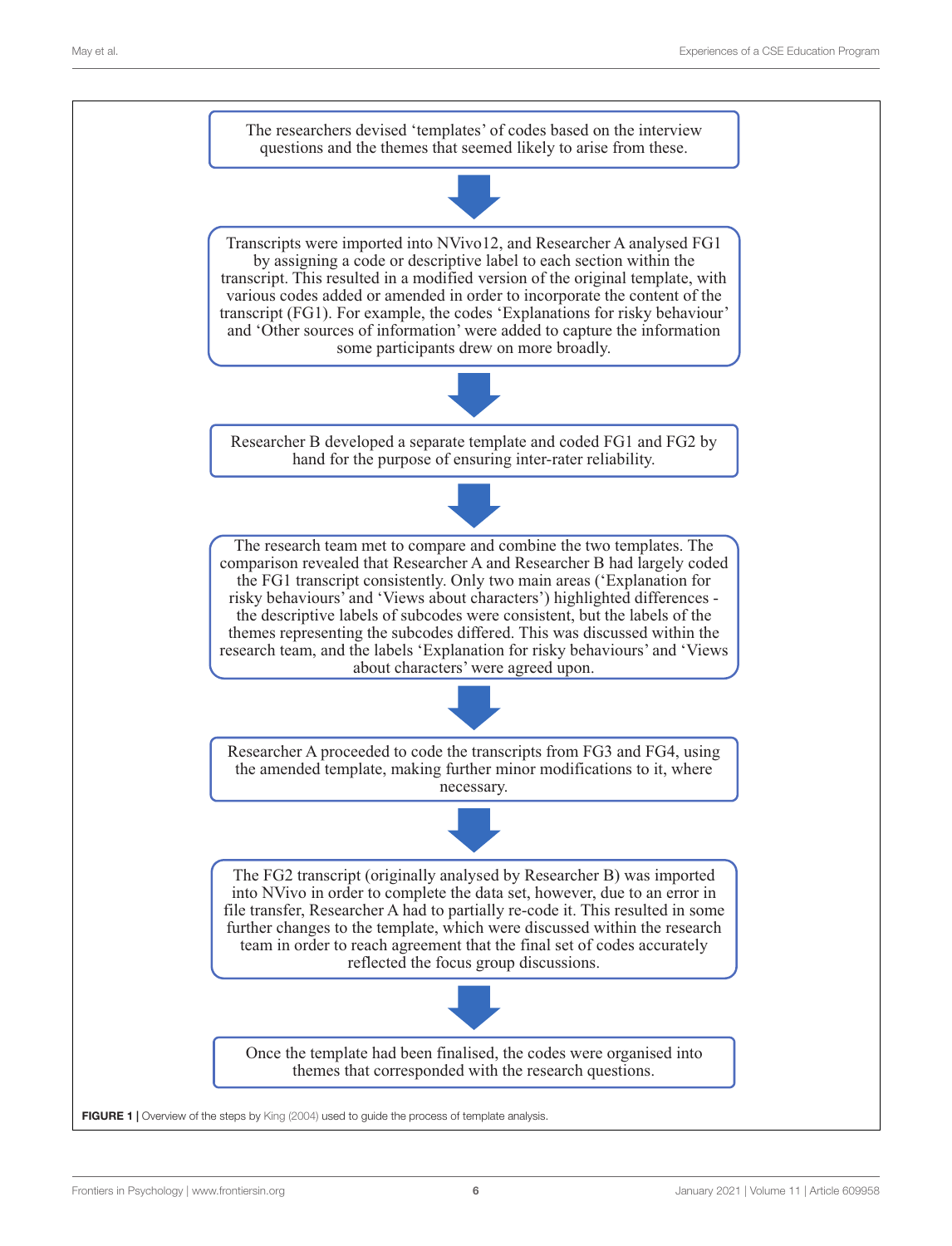<span id="page-5-0"></span>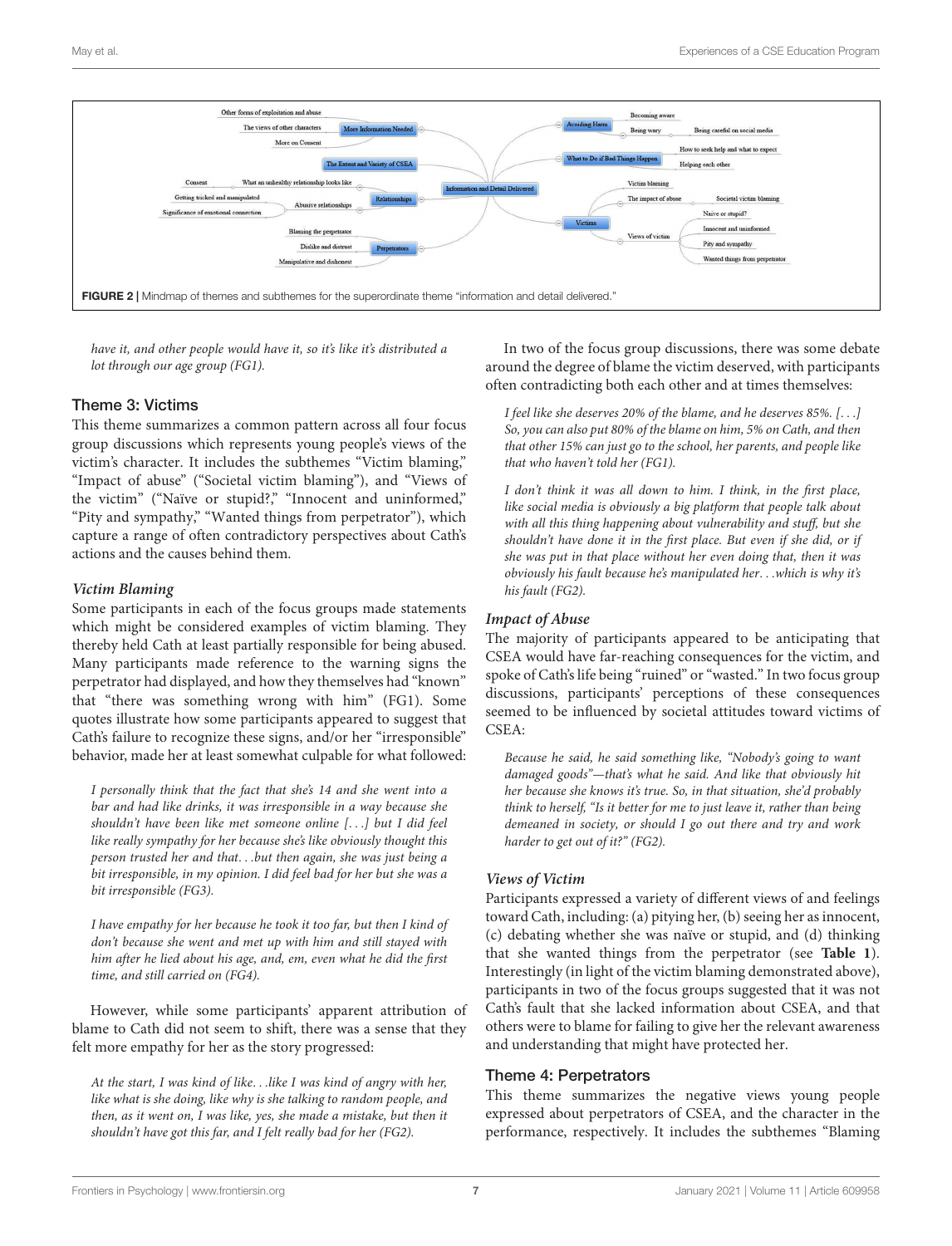

<span id="page-6-0"></span>have it, and other people would have it, so it's like it's distributed a lot through our age group (FG1).

### Theme 3: Victims

This theme summarizes a common pattern across all four focus group discussions which represents young people's views of the victim's character. It includes the subthemes "Victim blaming," "Impact of abuse" ("Societal victim blaming"), and "Views of the victim" ("Naïve or stupid?," "Innocent and uninformed," "Pity and sympathy," "Wanted things from perpetrator"), which capture a range of often contradictory perspectives about Cath's actions and the causes behind them.

### **Victim Blaming**

Some participants in each of the focus groups made statements which might be considered examples of victim blaming. They thereby held Cath at least partially responsible for being abused. Many participants made reference to the warning signs the perpetrator had displayed, and how they themselves had "known" that "there was something wrong with him" (FG1). Some quotes illustrate how some participants appeared to suggest that Cath's failure to recognize these signs, and/or her "irresponsible" behavior, made her at least somewhat culpable for what followed:

I personally think that the fact that she's 14 and she went into a bar and had like drinks, it was irresponsible in a way because she shouldn't have been like met someone online [. . .] but I did feel like really sympathy for her because she's like obviously thought this person trusted her and that. . .but then again, she was just being a bit irresponsible, in my opinion. I did feel bad for her but she was a bit irresponsible (FG3).

I have empathy for her because he took it too far, but then I kind of don't because she went and met up with him and still stayed with him after he lied about his age, and, em, even what he did the first time, and still carried on (FG4).

However, while some participants' apparent attribution of blame to Cath did not seem to shift, there was a sense that they felt more empathy for her as the story progressed:

At the start, I was kind of like. . .like I was kind of angry with her, like what is she doing, like why is she talking to random people, and then, as it went on, I was like, yes, she made a mistake, but then it shouldn't have got this far, and I felt really bad for her (FG2).

In two of the focus group discussions, there was some debate around the degree of blame the victim deserved, with participants often contradicting both each other and at times themselves:

I feel like she deserves 20% of the blame, and he deserves 85%. [. . .] So, you can also put 80% of the blame on him, 5% on Cath, and then that other 15% can just go to the school, her parents, and people like that who haven't told her (FG1).

I don't think it was all down to him. I think, in the first place, like social media is obviously a big platform that people talk about with all this thing happening about vulnerability and stuff, but she shouldn't have done it in the first place. But even if she did, or if she was put in that place without her even doing that, then it was obviously his fault because he's manipulated her. . .which is why it's his fault (FG2).

### **Impact of Abuse**

The majority of participants appeared to be anticipating that CSEA would have far-reaching consequences for the victim, and spoke of Cath's life being "ruined" or "wasted." In two focus group discussions, participants' perceptions of these consequences seemed to be influenced by societal attitudes toward victims of CSEA:

Because he said, he said something like, "Nobody's going to want damaged goods"—that's what he said. And like that obviously hit her because she knows it's true. So, in that situation, she'd probably think to herself, "Is it better for me to just leave it, rather than being demeaned in society, or should I go out there and try and work harder to get out of it?" (FG2).

### **Views of Victim**

Participants expressed a variety of different views of and feelings toward Cath, including: (a) pitying her, (b) seeing her as innocent, (c) debating whether she was naïve or stupid, and (d) thinking that she wanted things from the perpetrator (see **[Table 1](#page-7-0)**). Interestingly (in light of the victim blaming demonstrated above), participants in two of the focus groups suggested that it was not Cath's fault that she lacked information about CSEA, and that others were to blame for failing to give her the relevant awareness and understanding that might have protected her.

### Theme 4: Perpetrators

This theme summarizes the negative views young people expressed about perpetrators of CSEA, and the character in the performance, respectively. It includes the subthemes "Blaming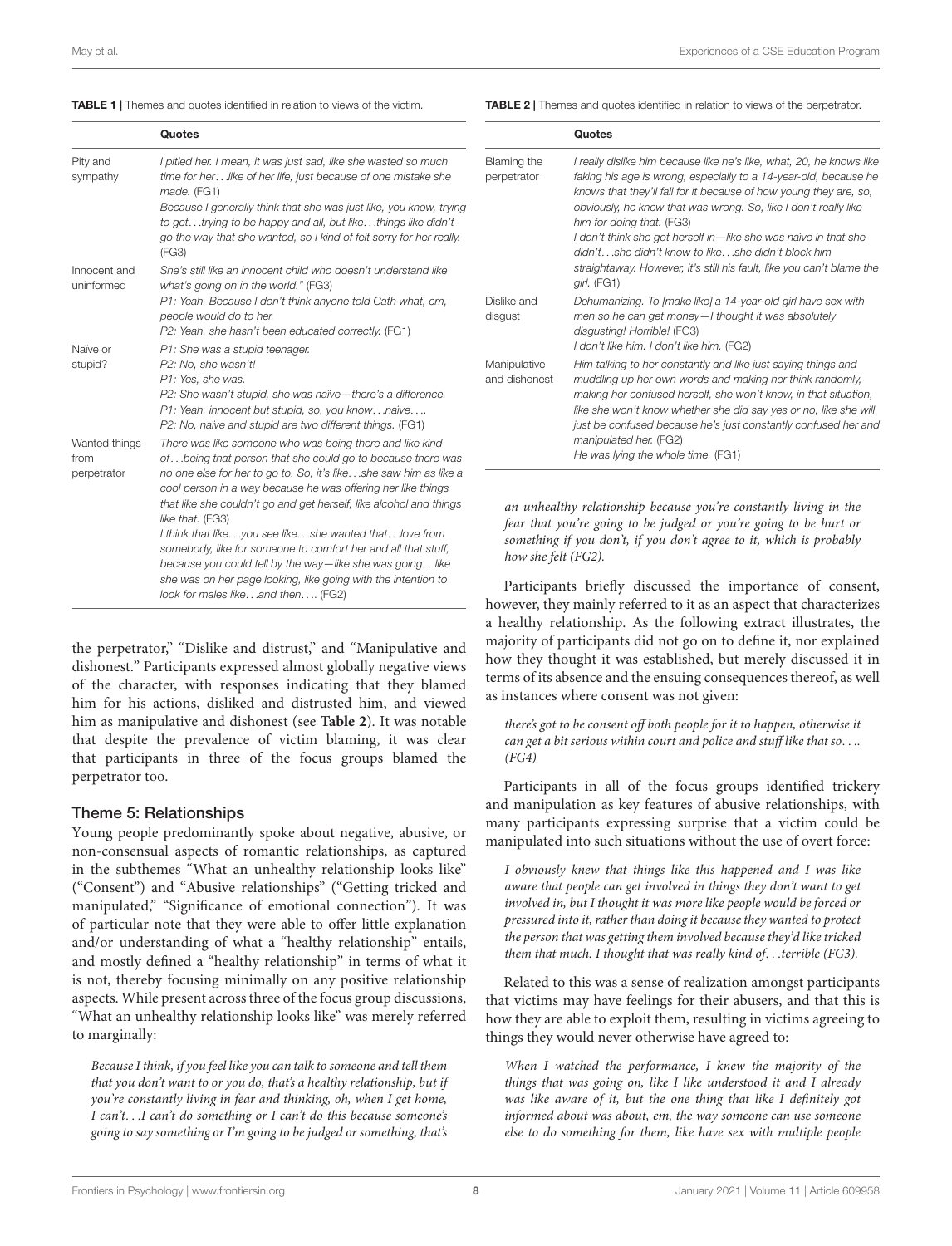#### <span id="page-7-0"></span>TABLE 1 | Themes and quotes identified in relation to views of the victim.

<span id="page-7-1"></span>TABLE 2 | Themes and quotes identified in relation to views of the perpetrator.

|                                      | Quotes                                                                                                                                                                                                                                                                                                                                                                                                                                                                                                                                                                                                                                           |
|--------------------------------------|--------------------------------------------------------------------------------------------------------------------------------------------------------------------------------------------------------------------------------------------------------------------------------------------------------------------------------------------------------------------------------------------------------------------------------------------------------------------------------------------------------------------------------------------------------------------------------------------------------------------------------------------------|
| Pity and<br>sympathy                 | I pitied her. I mean, it was just sad, like she wasted so much<br>time for herlike of her life, just because of one mistake she<br>made. (FG1)<br>Because I generally think that she was just like, you know, trying<br>to gettrying to be happy and all, but likethings like didn't<br>go the way that she wanted, so I kind of felt sorry for her really.<br>(FG3)                                                                                                                                                                                                                                                                             |
| Innocent and<br>uninformed           | She's still like an innocent child who doesn't understand like<br>what's going on in the world." (FG3)<br>P1: Yeah. Because I don't think anyone told Cath what, em,<br>people would do to her.<br>P2: Yeah, she hasn't been educated correctly. (FG1)                                                                                                                                                                                                                                                                                                                                                                                           |
| Naïve or<br>stupid?                  | P1: She was a stupid teenager.<br>P2: No. she wasn't!<br>P1: Yes, she was.<br>P2: She wasn't stupid, she was naïve-there's a difference.<br>P1: Yeah, innocent but stupid, so, you knownaïve<br>P2: No, naïve and stupid are two different things. (FG1)                                                                                                                                                                                                                                                                                                                                                                                         |
| Wanted things<br>from<br>perpetrator | There was like someone who was being there and like kind<br>ofbeing that person that she could go to because there was<br>no one else for her to go to. So, it's likeshe saw him as like a<br>cool person in a way because he was offering her like things<br>that like she couldn't go and get herself, like alcohol and things<br>like that. (FG3)<br>I think that likeyou see likeshe wanted thatlove from<br>somebody, like for someone to comfort her and all that stuff,<br>because you could tell by the way-like she was goinglike<br>she was on her page looking, like going with the intention to<br>look for males likeand then (FG2) |

the perpetrator," "Dislike and distrust," and "Manipulative and dishonest." Participants expressed almost globally negative views of the character, with responses indicating that they blamed him for his actions, disliked and distrusted him, and viewed him as manipulative and dishonest (see **[Table 2](#page-7-1)**). It was notable that despite the prevalence of victim blaming, it was clear that participants in three of the focus groups blamed the perpetrator too.

### Theme 5: Relationships

Young people predominantly spoke about negative, abusive, or non-consensual aspects of romantic relationships, as captured in the subthemes "What an unhealthy relationship looks like" ("Consent") and "Abusive relationships" ("Getting tricked and manipulated," "Significance of emotional connection"). It was of particular note that they were able to offer little explanation and/or understanding of what a "healthy relationship" entails, and mostly defined a "healthy relationship" in terms of what it is not, thereby focusing minimally on any positive relationship aspects. While present across three of the focus group discussions, "What an unhealthy relationship looks like" was merely referred to marginally:

Because I think, if you feel like you can talk to someone and tell them that you don't want to or you do, that's a healthy relationship, but if you're constantly living in fear and thinking, oh, when I get home, I can't. . .I can't do something or I can't do this because someone's going to say something or I'm going to be judged or something, that's

|                               | Quotes                                                                                                                                                                                                                                                                                                                                                                                                                                                                                                                          |
|-------------------------------|---------------------------------------------------------------------------------------------------------------------------------------------------------------------------------------------------------------------------------------------------------------------------------------------------------------------------------------------------------------------------------------------------------------------------------------------------------------------------------------------------------------------------------|
| Blaming the<br>perpetrator    | I really dislike him because like he's like, what, 20, he knows like<br>faking his age is wrong, especially to a 14-year-old, because he<br>knows that they'll fall for it because of how young they are, so,<br>obviously, he knew that was wrong. So, like I don't really like<br>him for doing that. (FG3)<br>I don't think she got herself in—like she was naïve in that she<br>didn'tshe didn't know to likeshe didn't block him<br>straightaway. However, it's still his fault, like you can't blame the<br>$qirl.$ (FG1) |
| Dislike and<br>disgust        | Dehumanizing. To [make like] a 14-year-old girl have sex with<br>men so he can get money-I thought it was absolutely<br>disgusting! Horrible! (FG3)<br>I don't like him. I don't like him. (FG2)                                                                                                                                                                                                                                                                                                                                |
| Manipulative<br>and dishonest | Him talking to her constantly and like just saying things and<br>muddling up her own words and making her think randomly,<br>making her confused herself, she won't know, in that situation,<br>like she won't know whether she did say yes or no, like she will<br>just be confused because he's just constantly confused her and<br>manipulated her. (FG2)<br>He was lying the whole time. (FG1)                                                                                                                              |

an unhealthy relationship because you're constantly living in the fear that you're going to be judged or you're going to be hurt or omething if you don't, if you don't agree to it, which is probably tow she felt (FG2).

Participants briefly discussed the importance of consent, however, they mainly referred to it as an aspect that characterizes a healthy relationship. As the following extract illustrates, the majority of participants did not go on to define it, nor explained how they thought it was established, but merely discussed it in terms of its absence and the ensuing consequences thereof, as well as instances where consent was not given:

there's got to be consent off both people for it to happen, otherwise it can get a bit serious within court and police and stuff like that so. . .. (FG4)

Participants in all of the focus groups identified trickery and manipulation as key features of abusive relationships, with many participants expressing surprise that a victim could be manipulated into such situations without the use of overt force:

I obviously knew that things like this happened and I was like aware that people can get involved in things they don't want to get involved in, but I thought it was more like people would be forced or pressured into it, rather than doing it because they wanted to protect the person that was getting them involved because they'd like tricked them that much. I thought that was really kind of. . .terrible (FG3).

Related to this was a sense of realization amongst participants that victims may have feelings for their abusers, and that this is how they are able to exploit them, resulting in victims agreeing to things they would never otherwise have agreed to:

When I watched the performance, I knew the majority of the things that was going on, like I like understood it and I already was like aware of it, but the one thing that like I definitely got informed about was about, em, the way someone can use someone else to do something for them, like have sex with multiple people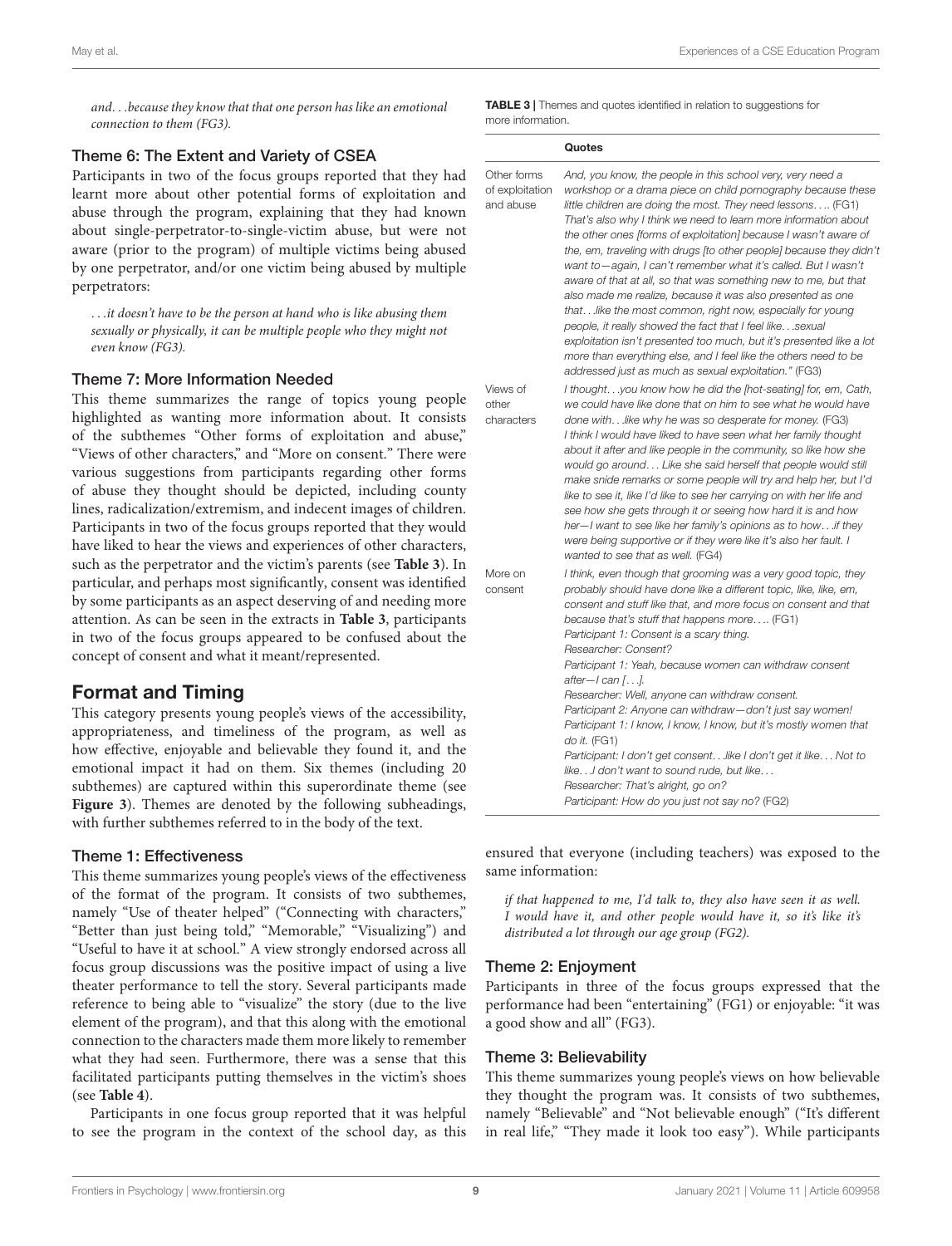and. . .because they know that that one person has like an emotional connection to them (FG3).

#### Theme 6: The Extent and Variety of CSEA

Participants in two of the focus groups reported that they had learnt more about other potential forms of exploitation and abuse through the program, explaining that they had known about single-perpetrator-to-single-victim abuse, but were not aware (prior to the program) of multiple victims being abused by one perpetrator, and/or one victim being abused by multiple perpetrators:

. . .it doesn't have to be the person at hand who is like abusing them sexually or physically, it can be multiple people who they might not even know (FG3).

#### Theme 7: More Information Needed

This theme summarizes the range of topics young people highlighted as wanting more information about. It consists of the subthemes "Other forms of exploitation and abuse," "Views of other characters," and "More on consent." There were various suggestions from participants regarding other forms of abuse they thought should be depicted, including county lines, radicalization/extremism, and indecent images of children. Participants in two of the focus groups reported that they would have liked to hear the views and experiences of other characters, such as the perpetrator and the victim's parents (see **[Table 3](#page-8-0)**). In particular, and perhaps most significantly, consent was identified by some participants as an aspect deserving of and needing more attention. As can be seen in the extracts in **[Table 3](#page-8-0)**, participants in two of the focus groups appeared to be confused about the concept of consent and what it meant/represented.

### Format and Timing

This category presents young people's views of the accessibility, appropriateness, and timeliness of the program, as well as how effective, enjoyable and believable they found it, and the emotional impact it had on them. Six themes (including 20 subthemes) are captured within this superordinate theme (see **[Figure 3](#page-9-0)**). Themes are denoted by the following subheadings, with further subthemes referred to in the body of the text.

#### Theme 1: Effectiveness

This theme summarizes young people's views of the effectiveness of the format of the program. It consists of two subthemes, namely "Use of theater helped" ("Connecting with characters," "Better than just being told," "Memorable," "Visualizing") and "Useful to have it at school." A view strongly endorsed across all focus group discussions was the positive impact of using a live theater performance to tell the story. Several participants made reference to being able to "visualize" the story (due to the live element of the program), and that this along with the emotional connection to the characters made them more likely to remember what they had seen. Furthermore, there was a sense that this facilitated participants putting themselves in the victim's shoes (see **[Table 4](#page-9-1)**).

Participants in one focus group reported that it was helpful to see the program in the context of the school day, as this <span id="page-8-0"></span>TABLE 3 | Themes and quotes identified in relation to suggestions for more information.

|                                             | Quotes                                                                                                                                                                                                                                                                                                                                                                                                                                                                                                                                                                                                                                                                                                                                                                                                                                                                                                                                    |
|---------------------------------------------|-------------------------------------------------------------------------------------------------------------------------------------------------------------------------------------------------------------------------------------------------------------------------------------------------------------------------------------------------------------------------------------------------------------------------------------------------------------------------------------------------------------------------------------------------------------------------------------------------------------------------------------------------------------------------------------------------------------------------------------------------------------------------------------------------------------------------------------------------------------------------------------------------------------------------------------------|
| Other forms<br>of exploitation<br>and abuse | And, you know, the people in this school very, very need a<br>workshop or a drama piece on child pornography because these<br>little children are doing the most. They need lessons (FG1)<br>That's also why I think we need to learn more information about<br>the other ones [forms of exploitation] because I wasn't aware of<br>the, em, traveling with drugs [to other people] because they didn't<br>want to—again, I can't remember what it's called. But I wasn't<br>aware of that at all, so that was something new to me, but that<br>also made me realize, because it was also presented as one<br>thatlike the most common, right now, especially for young<br>people, it really showed the fact that I feel like sexual<br>exploitation isn't presented too much, but it's presented like a lot<br>more than everything else, and I feel like the others need to be<br>addressed just as much as sexual exploitation." (FG3) |
| Views of<br>other<br>characters             | I thoughtyou know how he did the [hot-seating] for, em, Cath,<br>we could have like done that on him to see what he would have<br>done withlike why he was so desperate for money. (FG3)<br>I think I would have liked to have seen what her family thought<br>about it after and like people in the community, so like how she<br>would go around Like she said herself that people would still<br>make snide remarks or some people will try and help her, but I'd<br>like to see it, like I'd like to see her carrying on with her life and<br>see how she gets through it or seeing how hard it is and how<br>her-I want to see like her family's opinions as to how if they<br>were being supportive or if they were like it's also her fault. I<br>wanted to see that as well. (FG4)                                                                                                                                                |
| More on<br>consent                          | I think, even though that grooming was a very good topic, they<br>probably should have done like a different topic, like, like, em,<br>consent and stuff like that, and more focus on consent and that<br>because that's stuff that happens more (FG1)<br>Participant 1: Consent is a scary thing.<br>Researcher: Consent?<br>Participant 1: Yeah, because women can withdraw consent<br>after-I can [].<br>Researcher: Well, anyone can withdraw consent.<br>Participant 2: Anyone can withdraw - don't just say women!<br>Participant 1: I know, I know, I know, but it's mostly women that<br>do it. (FG1)<br>Participant: I don't get consentlike I don't get it like Not to<br>like I don't want to sound rude, but like<br>Researcher: That's alright, go on?<br>Participant: How do you just not say no? (FG2)                                                                                                                     |

ensured that everyone (including teachers) was exposed to the same information:

if that happened to me, I'd talk to, they also have seen it as well. I would have it, and other people would have it, so it's like it's distributed a lot through our age group (FG2).

#### Theme 2: Enjoyment

Participants in three of the focus groups expressed that the performance had been "entertaining" (FG1) or enjoyable: "it was a good show and all" (FG3).

#### Theme 3: Believability

This theme summarizes young people's views on how believable they thought the program was. It consists of two subthemes, namely "Believable" and "Not believable enough" ("It's different in real life," "They made it look too easy"). While participants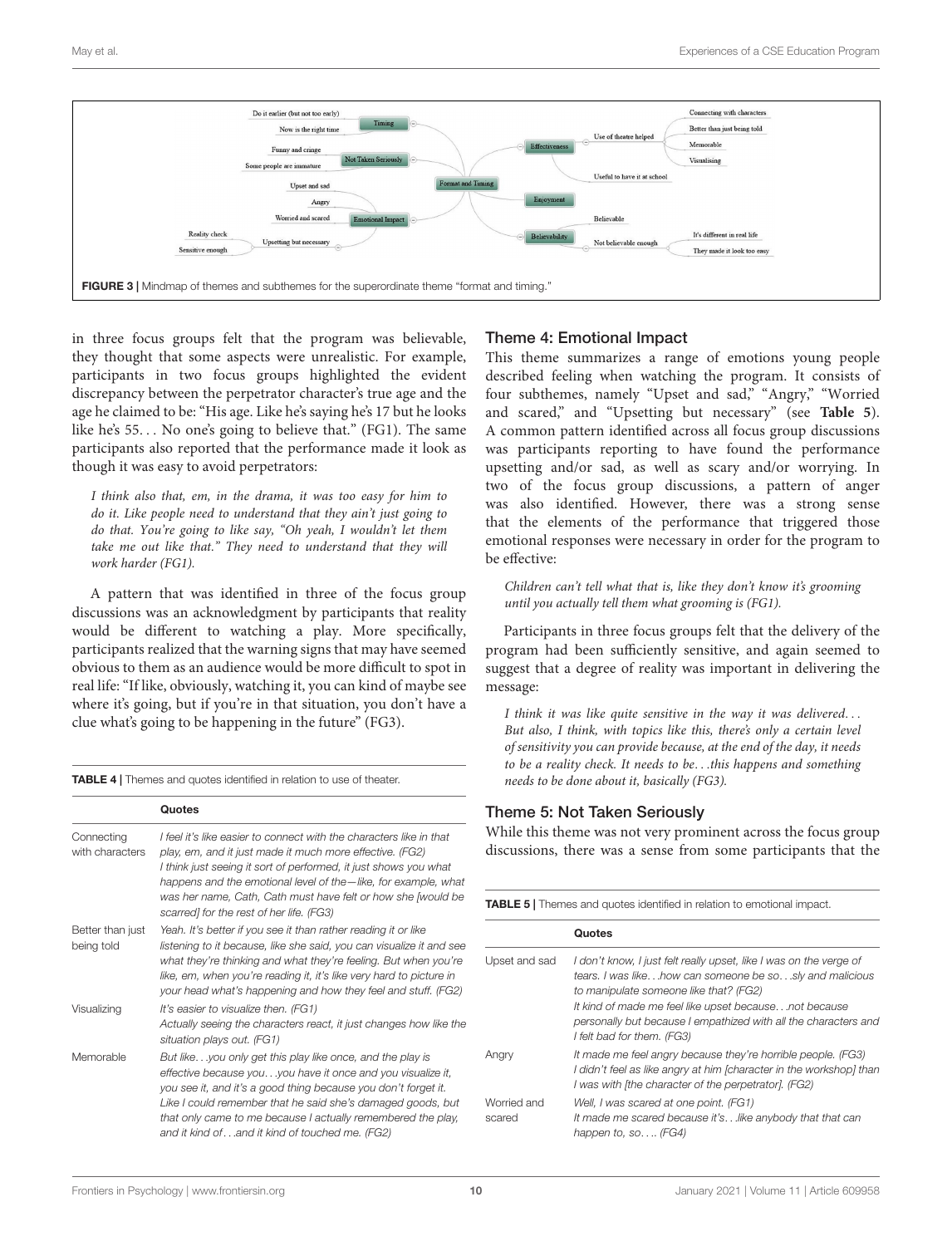

<span id="page-9-0"></span>in three focus groups felt that the program was believable, they thought that some aspects were unrealistic. For example, participants in two focus groups highlighted the evident discrepancy between the perpetrator character's true age and the age he claimed to be: "His age. Like he's saying he's 17 but he looks like he's 55. . . No one's going to believe that." (FG1). The same participants also reported that the performance made it look as though it was easy to avoid perpetrators:

I think also that, em, in the drama, it was too easy for him to do it. Like people need to understand that they ain't just going to do that. You're going to like say, "Oh yeah, I wouldn't let them take me out like that." They need to understand that they will work harder (FG1).

A pattern that was identified in three of the focus group discussions was an acknowledgment by participants that reality would be different to watching a play. More specifically, participants realized that the warning signs that may have seemed obvious to them as an audience would be more difficult to spot in real life: "If like, obviously, watching it, you can kind of maybe see where it's going, but if you're in that situation, you don't have a clue what's going to be happening in the future" (FG3).

<span id="page-9-1"></span>TABLE 4 | Themes and quotes identified in relation to use of theater.

|                                | Quotes                                                                                                                                                                                                                                                                                                                                                                              |
|--------------------------------|-------------------------------------------------------------------------------------------------------------------------------------------------------------------------------------------------------------------------------------------------------------------------------------------------------------------------------------------------------------------------------------|
| Connecting<br>with characters  | I feel it's like easier to connect with the characters like in that<br>play, em, and it just made it much more effective. (FG2)<br>I think just seeing it sort of performed, it just shows you what<br>happens and the emotional level of the - like, for example, what<br>was her name, Cath, Cath must have felt or how she [would be<br>scarred] for the rest of her life. (FG3) |
| Better than just<br>being told | Yeah. It's better if you see it than rather reading it or like<br>listening to it because, like she said, you can visualize it and see<br>what they're thinking and what they're feeling. But when you're<br>like, em, when you're reading it, it's like very hard to picture in<br>your head what's happening and how they feel and stuff. (FG2)                                   |
| Visualizing                    | It's easier to visualize then. (FG1)<br>Actually seeing the characters react, it just changes how like the<br>situation plays out. (FG1)                                                                                                                                                                                                                                            |
| Memorable                      | But likeyou only get this play like once, and the play is<br>effective because youyou have it once and you visualize it,<br>you see it, and it's a good thing because you don't forget it.<br>Like I could remember that he said she's damaged goods, but<br>that only came to me because I actually remembered the play,<br>and it kind ofand it kind of touched me. (FG2)         |

### Theme 4: Emotional Impact

This theme summarizes a range of emotions young people described feeling when watching the program. It consists of four subthemes, namely "Upset and sad," "Angry," "Worried and scared," and "Upsetting but necessary" (see **[Table 5](#page-9-2)**). A common pattern identified across all focus group discussions was participants reporting to have found the performance upsetting and/or sad, as well as scary and/or worrying. In two of the focus group discussions, a pattern of anger was also identified. However, there was a strong sense that the elements of the performance that triggered those emotional responses were necessary in order for the program to be effective:

Children can't tell what that is, like they don't know it's grooming until you actually tell them what grooming is (FG1).

Participants in three focus groups felt that the delivery of the program had been sufficiently sensitive, and again seemed to suggest that a degree of reality was important in delivering the message:

I think it was like quite sensitive in the way it was delivered. . . But also, I think, with topics like this, there's only a certain level of sensitivity you can provide because, at the end of the day, it needs to be a reality check. It needs to be. . .this happens and something needs to be done about it, basically (FG3).

### Theme 5: Not Taken Seriously

While this theme was not very prominent across the focus group discussions, there was a sense from some participants that the

<span id="page-9-2"></span>

| <b>TABLE 5</b>   Themes and quotes identified in relation to emotional impact. |                                                                                                                                                                                                                                                                                                                                   |  |
|--------------------------------------------------------------------------------|-----------------------------------------------------------------------------------------------------------------------------------------------------------------------------------------------------------------------------------------------------------------------------------------------------------------------------------|--|
|                                                                                | Quotes                                                                                                                                                                                                                                                                                                                            |  |
| Upset and sad                                                                  | I don't know, I just felt really upset, like I was on the verge of<br>tears. I was likehow can someone be sosly and malicious<br>to manipulate someone like that? (FG2)<br>It kind of made me feel like upset becausenot because<br>personally but because I empathized with all the characters and<br>I felt bad for them. (FG3) |  |
| Angry                                                                          | It made me feel angry because they're horrible people. (FG3)<br>I didn't feel as like angry at him [character in the workshop] than<br>I was with [the character of the perpetrator]. (FG2)                                                                                                                                       |  |
| Worried and<br>scared                                                          | Well, I was scared at one point. (FG1)<br>It made me scared because it'slike anybody that that can<br>happen to, so $(FG4)$                                                                                                                                                                                                       |  |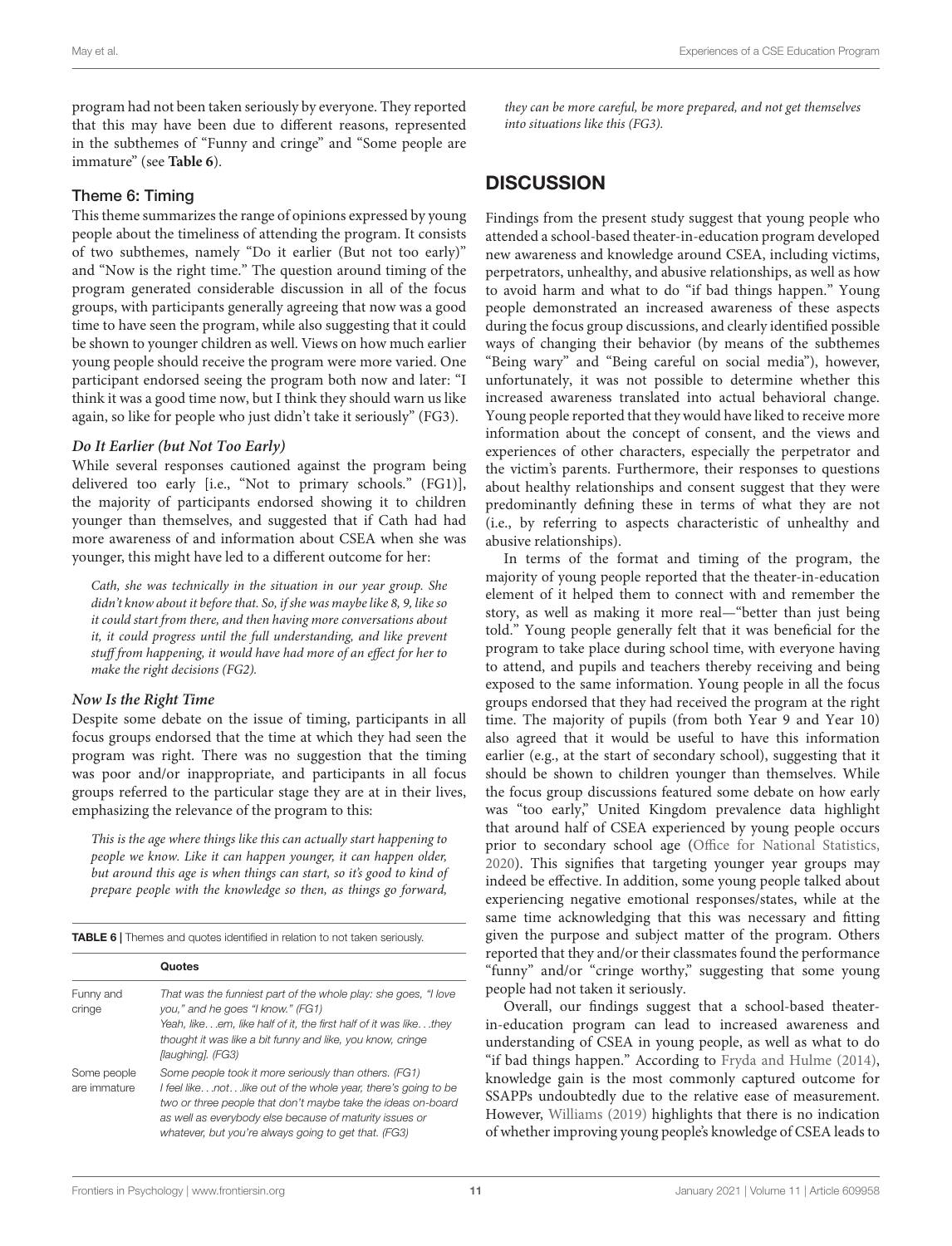program had not been taken seriously by everyone. They reported that this may have been due to different reasons, represented in the subthemes of "Funny and cringe" and "Some people are immature" (see **[Table 6](#page-10-0)**).

### Theme 6: Timing

This theme summarizes the range of opinions expressed by young people about the timeliness of attending the program. It consists of two subthemes, namely "Do it earlier (But not too early)" and "Now is the right time." The question around timing of the program generated considerable discussion in all of the focus groups, with participants generally agreeing that now was a good time to have seen the program, while also suggesting that it could be shown to younger children as well. Views on how much earlier young people should receive the program were more varied. One participant endorsed seeing the program both now and later: "I think it was a good time now, but I think they should warn us like again, so like for people who just didn't take it seriously" (FG3).

### **Do It Earlier (but Not Too Early)**

While several responses cautioned against the program being delivered too early [i.e., "Not to primary schools." (FG1)], the majority of participants endorsed showing it to children younger than themselves, and suggested that if Cath had had more awareness of and information about CSEA when she was younger, this might have led to a different outcome for her:

Cath, she was technically in the situation in our year group. She didn't know about it before that. So, if she was maybe like 8, 9, like so it could start from there, and then having more conversations about it, it could progress until the full understanding, and like prevent stuff from happening, it would have had more of an effect for her to make the right decisions (FG2).

### **Now Is the Right Time**

Despite some debate on the issue of timing, participants in all focus groups endorsed that the time at which they had seen the program was right. There was no suggestion that the timing was poor and/or inappropriate, and participants in all focus groups referred to the particular stage they are at in their lives, emphasizing the relevance of the program to this:

This is the age where things like this can actually start happening to people we know. Like it can happen younger, it can happen older, but around this age is when things can start, so it's good to kind of prepare people with the knowledge so then, as things go forward,

<span id="page-10-0"></span>TABLE 6 | Themes and quotes identified in relation to not taken seriously.

| Funny and<br>cringe         | That was the funniest part of the whole play: she goes, "I love<br>you," and he goes "I know." (FG1)<br>Yeah, likeem, like half of it, the first half of it was likethey<br>thought it was like a bit funny and like, you know, cringe<br>[laughing]. (FG3)                                               |
|-----------------------------|-----------------------------------------------------------------------------------------------------------------------------------------------------------------------------------------------------------------------------------------------------------------------------------------------------------|
| Some people<br>are immature | Some people took it more seriously than others. (FG1)<br>I feel likenotlike out of the whole year, there's going to be<br>two or three people that don't maybe take the ideas on-board<br>as well as everybody else because of maturity issues or<br>whatever, but you're always going to get that. (FG3) |

they can be more careful, be more prepared, and not get themselves into situations like this (FG3).

# **DISCUSSION**

Findings from the present study suggest that young people who attended a school-based theater-in-education program developed new awareness and knowledge around CSEA, including victims, perpetrators, unhealthy, and abusive relationships, as well as how to avoid harm and what to do "if bad things happen." Young people demonstrated an increased awareness of these aspects during the focus group discussions, and clearly identified possible ways of changing their behavior (by means of the subthemes "Being wary" and "Being careful on social media"), however, unfortunately, it was not possible to determine whether this increased awareness translated into actual behavioral change. Young people reported that they would have liked to receive more information about the concept of consent, and the views and experiences of other characters, especially the perpetrator and the victim's parents. Furthermore, their responses to questions about healthy relationships and consent suggest that they were predominantly defining these in terms of what they are not (i.e., by referring to aspects characteristic of unhealthy and abusive relationships).

In terms of the format and timing of the program, the majority of young people reported that the theater-in-education element of it helped them to connect with and remember the story, as well as making it more real—"better than just being told." Young people generally felt that it was beneficial for the program to take place during school time, with everyone having to attend, and pupils and teachers thereby receiving and being exposed to the same information. Young people in all the focus groups endorsed that they had received the program at the right time. The majority of pupils (from both Year 9 and Year 10) also agreed that it would be useful to have this information earlier (e.g., at the start of secondary school), suggesting that it should be shown to children younger than themselves. While the focus group discussions featured some debate on how early was "too early," United Kingdom prevalence data highlight that around half of CSEA experienced by young people occurs prior to secondary school age [\(Office for National Statistics,](#page-14-1) [2020\)](#page-14-1). This signifies that targeting younger year groups may indeed be effective. In addition, some young people talked about experiencing negative emotional responses/states, while at the same time acknowledging that this was necessary and fitting given the purpose and subject matter of the program. Others reported that they and/or their classmates found the performance "funny" and/or "cringe worthy," suggesting that some young people had not taken it seriously.

Overall, our findings suggest that a school-based theaterin-education program can lead to increased awareness and understanding of CSEA in young people, as well as what to do "if bad things happen." According to [Fryda and Hulme](#page-13-10) [\(2014\)](#page-13-10), knowledge gain is the most commonly captured outcome for SSAPPs undoubtedly due to the relative ease of measurement. However, [Williams](#page-14-9) [\(2019\)](#page-14-9) highlights that there is no indication of whether improving young people's knowledge of CSEA leads to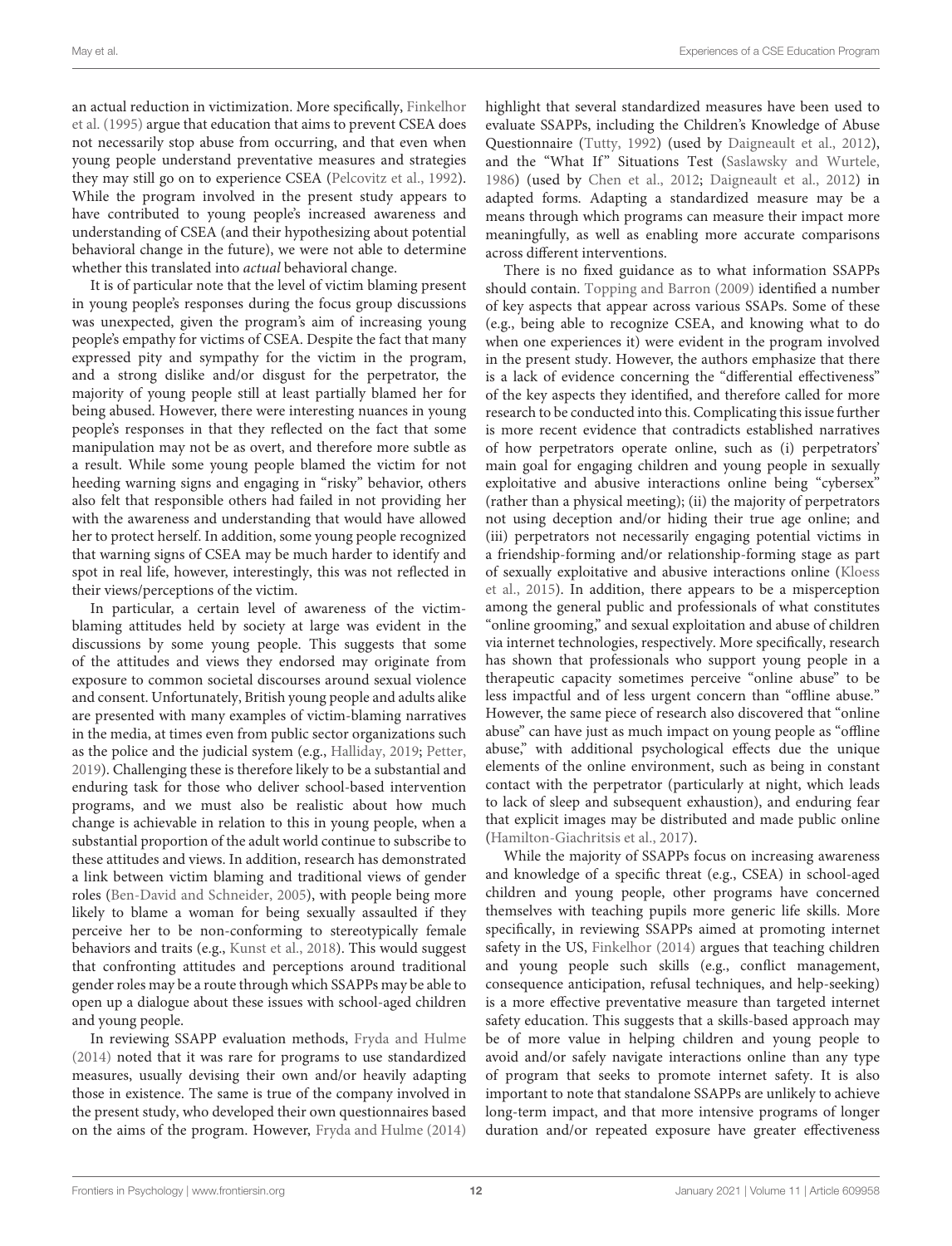an actual reduction in victimization. More specifically, [Finkelhor](#page-13-16) [et al.](#page-13-16) [\(1995\)](#page-13-16) argue that education that aims to prevent CSEA does not necessarily stop abuse from occurring, and that even when young people understand preventative measures and strategies they may still go on to experience CSEA [\(Pelcovitz et al.,](#page-14-13) [1992\)](#page-14-13). While the program involved in the present study appears to have contributed to young people's increased awareness and understanding of CSEA (and their hypothesizing about potential behavioral change in the future), we were not able to determine whether this translated into *actual* behavioral change.

It is of particular note that the level of victim blaming present in young people's responses during the focus group discussions was unexpected, given the program's aim of increasing young people's empathy for victims of CSEA. Despite the fact that many expressed pity and sympathy for the victim in the program, and a strong dislike and/or disgust for the perpetrator, the majority of young people still at least partially blamed her for being abused. However, there were interesting nuances in young people's responses in that they reflected on the fact that some manipulation may not be as overt, and therefore more subtle as a result. While some young people blamed the victim for not heeding warning signs and engaging in "risky" behavior, others also felt that responsible others had failed in not providing her with the awareness and understanding that would have allowed her to protect herself. In addition, some young people recognized that warning signs of CSEA may be much harder to identify and spot in real life, however, interestingly, this was not reflected in their views/perceptions of the victim.

In particular, a certain level of awareness of the victimblaming attitudes held by society at large was evident in the discussions by some young people. This suggests that some of the attitudes and views they endorsed may originate from exposure to common societal discourses around sexual violence and consent. Unfortunately, British young people and adults alike are presented with many examples of victim-blaming narratives in the media, at times even from public sector organizations such as the police and the judicial system (e.g., [Halliday,](#page-13-17) [2019;](#page-13-17) [Petter,](#page-14-14) [2019\)](#page-14-14). Challenging these is therefore likely to be a substantial and enduring task for those who deliver school-based intervention programs, and we must also be realistic about how much change is achievable in relation to this in young people, when a substantial proportion of the adult world continue to subscribe to these attitudes and views. In addition, research has demonstrated a link between victim blaming and traditional views of gender roles [\(Ben-David and Schneider,](#page-13-18) [2005\)](#page-13-18), with people being more likely to blame a woman for being sexually assaulted if they perceive her to be non-conforming to stereotypically female behaviors and traits (e.g., [Kunst et al.,](#page-13-19) [2018\)](#page-13-19). This would suggest that confronting attitudes and perceptions around traditional gender roles may be a route through which SSAPPs may be able to open up a dialogue about these issues with school-aged children and young people.

In reviewing SSAPP evaluation methods, [Fryda and Hulme](#page-13-10) [\(2014\)](#page-13-10) noted that it was rare for programs to use standardized measures, usually devising their own and/or heavily adapting those in existence. The same is true of the company involved in the present study, who developed their own questionnaires based on the aims of the program. However, [Fryda and Hulme](#page-13-10) [\(2014\)](#page-13-10)

highlight that several standardized measures have been used to evaluate SSAPPs, including the Children's Knowledge of Abuse Questionnaire [\(Tutty,](#page-14-15) [1992\)](#page-14-15) (used by [Daigneault et al.,](#page-13-20) [2012\)](#page-13-20), and the "What If" Situations Test [\(Saslawsky and Wurtele,](#page-14-16) [1986\)](#page-14-16) (used by [Chen et al.,](#page-13-21) [2012;](#page-13-21) [Daigneault et al.,](#page-13-20) [2012\)](#page-13-20) in adapted forms. Adapting a standardized measure may be a means through which programs can measure their impact more meaningfully, as well as enabling more accurate comparisons across different interventions.

There is no fixed guidance as to what information SSAPPs should contain. [Topping and Barron](#page-14-7) [\(2009\)](#page-14-7) identified a number of key aspects that appear across various SSAPs. Some of these (e.g., being able to recognize CSEA, and knowing what to do when one experiences it) were evident in the program involved in the present study. However, the authors emphasize that there is a lack of evidence concerning the "differential effectiveness" of the key aspects they identified, and therefore called for more research to be conducted into this. Complicating this issue further is more recent evidence that contradicts established narratives of how perpetrators operate online, such as (i) perpetrators' main goal for engaging children and young people in sexually exploitative and abusive interactions online being "cybersex" (rather than a physical meeting); (ii) the majority of perpetrators not using deception and/or hiding their true age online; and (iii) perpetrators not necessarily engaging potential victims in a friendship-forming and/or relationship-forming stage as part of sexually exploitative and abusive interactions online [\(Kloess](#page-13-22) [et al.,](#page-13-22) [2015\)](#page-13-22). In addition, there appears to be a misperception among the general public and professionals of what constitutes "online grooming," and sexual exploitation and abuse of children via internet technologies, respectively. More specifically, research has shown that professionals who support young people in a therapeutic capacity sometimes perceive "online abuse" to be less impactful and of less urgent concern than "offline abuse." However, the same piece of research also discovered that "online abuse" can have just as much impact on young people as "offline abuse," with additional psychological effects due the unique elements of the online environment, such as being in constant contact with the perpetrator (particularly at night, which leads to lack of sleep and subsequent exhaustion), and enduring fear that explicit images may be distributed and made public online [\(Hamilton-Giachritsis et al.,](#page-13-4) [2017\)](#page-13-4).

While the majority of SSAPPs focus on increasing awareness and knowledge of a specific threat (e.g., CSEA) in school-aged children and young people, other programs have concerned themselves with teaching pupils more generic life skills. More specifically, in reviewing SSAPPs aimed at promoting internet safety in the US, [Finkelhor](#page-13-23) [\(2014\)](#page-13-23) argues that teaching children and young people such skills (e.g., conflict management, consequence anticipation, refusal techniques, and help-seeking) is a more effective preventative measure than targeted internet safety education. This suggests that a skills-based approach may be of more value in helping children and young people to avoid and/or safely navigate interactions online than any type of program that seeks to promote internet safety. It is also important to note that standalone SSAPPs are unlikely to achieve long-term impact, and that more intensive programs of longer duration and/or repeated exposure have greater effectiveness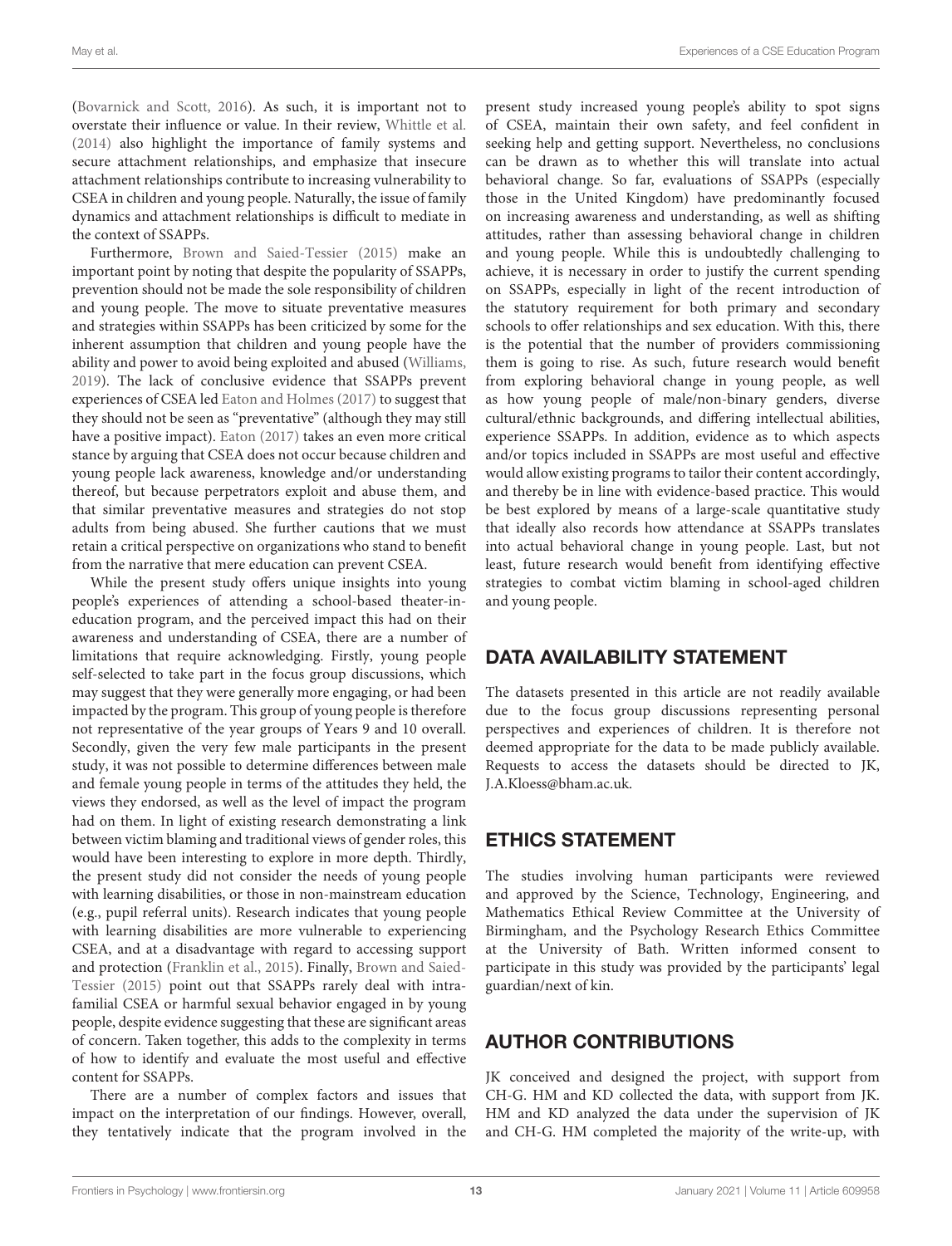[\(Bovarnick and Scott,](#page-13-6) [2016\)](#page-13-6). As such, it is important not to overstate their influence or value. In their review, [Whittle et al.](#page-14-6) [\(2014\)](#page-14-6) also highlight the importance of family systems and secure attachment relationships, and emphasize that insecure attachment relationships contribute to increasing vulnerability to CSEA in children and young people. Naturally, the issue of family dynamics and attachment relationships is difficult to mediate in the context of SSAPPs.

Furthermore, [Brown and Saied-Tessier](#page-13-5) [\(2015\)](#page-13-5) make an important point by noting that despite the popularity of SSAPPs, prevention should not be made the sole responsibility of children and young people. The move to situate preventative measures and strategies within SSAPPs has been criticized by some for the inherent assumption that children and young people have the ability and power to avoid being exploited and abused [\(Williams,](#page-14-9) [2019\)](#page-14-9). The lack of conclusive evidence that SSAPPs prevent experiences of CSEA led [Eaton and Holmes](#page-13-24) [\(2017\)](#page-13-24) to suggest that they should not be seen as "preventative" (although they may still have a positive impact). [Eaton](#page-13-25) [\(2017\)](#page-13-25) takes an even more critical stance by arguing that CSEA does not occur because children and young people lack awareness, knowledge and/or understanding thereof, but because perpetrators exploit and abuse them, and that similar preventative measures and strategies do not stop adults from being abused. She further cautions that we must retain a critical perspective on organizations who stand to benefit from the narrative that mere education can prevent CSEA.

While the present study offers unique insights into young people's experiences of attending a school-based theater-ineducation program, and the perceived impact this had on their awareness and understanding of CSEA, there are a number of limitations that require acknowledging. Firstly, young people self-selected to take part in the focus group discussions, which may suggest that they were generally more engaging, or had been impacted by the program. This group of young people is therefore not representative of the year groups of Years 9 and 10 overall. Secondly, given the very few male participants in the present study, it was not possible to determine differences between male and female young people in terms of the attitudes they held, the views they endorsed, as well as the level of impact the program had on them. In light of existing research demonstrating a link between victim blaming and traditional views of gender roles, this would have been interesting to explore in more depth. Thirdly, the present study did not consider the needs of young people with learning disabilities, or those in non-mainstream education (e.g., pupil referral units). Research indicates that young people with learning disabilities are more vulnerable to experiencing CSEA, and at a disadvantage with regard to accessing support and protection [\(Franklin et al.,](#page-13-26) [2015\)](#page-13-26). Finally, [Brown and Saied-](#page-13-5)[Tessier](#page-13-5) [\(2015\)](#page-13-5) point out that SSAPPs rarely deal with intrafamilial CSEA or harmful sexual behavior engaged in by young people, despite evidence suggesting that these are significant areas of concern. Taken together, this adds to the complexity in terms of how to identify and evaluate the most useful and effective content for SSAPPs.

There are a number of complex factors and issues that impact on the interpretation of our findings. However, overall, they tentatively indicate that the program involved in the present study increased young people's ability to spot signs of CSEA, maintain their own safety, and feel confident in seeking help and getting support. Nevertheless, no conclusions can be drawn as to whether this will translate into actual behavioral change. So far, evaluations of SSAPPs (especially those in the United Kingdom) have predominantly focused on increasing awareness and understanding, as well as shifting attitudes, rather than assessing behavioral change in children and young people. While this is undoubtedly challenging to achieve, it is necessary in order to justify the current spending on SSAPPs, especially in light of the recent introduction of the statutory requirement for both primary and secondary schools to offer relationships and sex education. With this, there is the potential that the number of providers commissioning them is going to rise. As such, future research would benefit from exploring behavioral change in young people, as well as how young people of male/non-binary genders, diverse cultural/ethnic backgrounds, and differing intellectual abilities, experience SSAPPs. In addition, evidence as to which aspects and/or topics included in SSAPPs are most useful and effective would allow existing programs to tailor their content accordingly, and thereby be in line with evidence-based practice. This would be best explored by means of a large-scale quantitative study that ideally also records how attendance at SSAPPs translates into actual behavioral change in young people. Last, but not least, future research would benefit from identifying effective strategies to combat victim blaming in school-aged children and young people.

# DATA AVAILABILITY STATEMENT

The datasets presented in this article are not readily available due to the focus group discussions representing personal perspectives and experiences of children. It is therefore not deemed appropriate for the data to be made publicly available. Requests to access the datasets should be directed to JK, J.A.Kloess@bham.ac.uk.

# ETHICS STATEMENT

The studies involving human participants were reviewed and approved by the Science, Technology, Engineering, and Mathematics Ethical Review Committee at the University of Birmingham, and the Psychology Research Ethics Committee at the University of Bath. Written informed consent to participate in this study was provided by the participants' legal guardian/next of kin.

# AUTHOR CONTRIBUTIONS

JK conceived and designed the project, with support from CH-G. HM and KD collected the data, with support from JK. HM and KD analyzed the data under the supervision of JK and CH-G. HM completed the majority of the write-up, with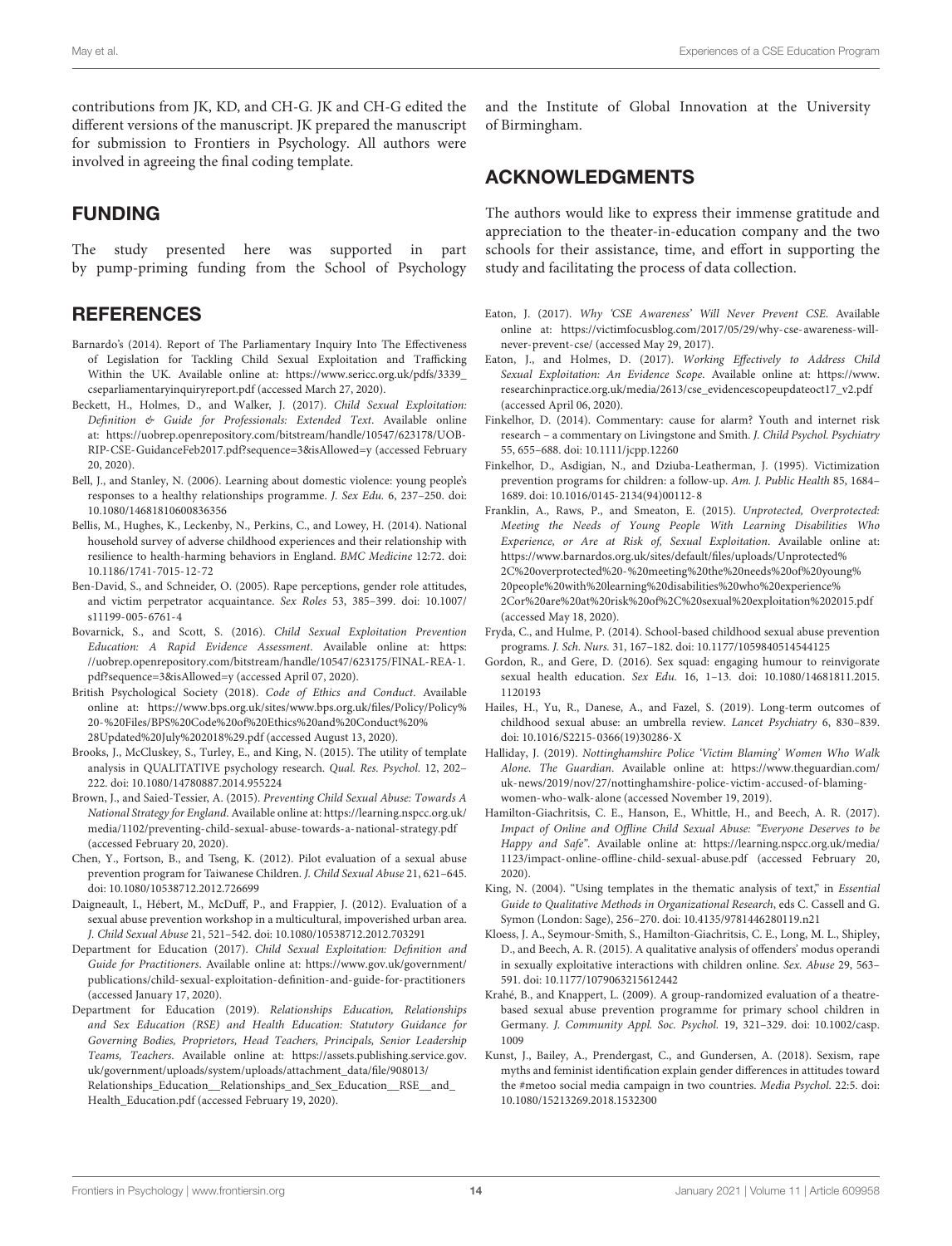contributions from JK, KD, and CH-G. JK and CH-G edited the different versions of the manuscript. JK prepared the manuscript for submission to Frontiers in Psychology. All authors were involved in agreeing the final coding template.

# FUNDING

The study presented here was supported in part by pump-priming funding from the School of Psychology

# **REFERENCES**

- <span id="page-13-11"></span>Barnardo's (2014). Report of The Parliamentary Inquiry Into The Effectiveness of Legislation for Tackling Child Sexual Exploitation and Trafficking Within the UK. Available online at: [https://www.sericc.org.uk/pdfs/3339\\_](https://www.sericc.org.uk/pdfs/3339_cseparliamentaryinquiryreport.pdf) [cseparliamentaryinquiryreport.pdf](https://www.sericc.org.uk/pdfs/3339_cseparliamentaryinquiryreport.pdf) (accessed March 27, 2020).
- <span id="page-13-3"></span>Beckett, H., Holmes, D., and Walker, J. (2017). Child Sexual Exploitation: Definition & Guide for Professionals: Extended Text. Available online at: [https://uobrep.openrepository.com/bitstream/handle/10547/623178/UOB-](https://uobrep.openrepository.com/bitstream/handle/10547/623178/UOB-RIP-CSE-GuidanceFeb2017.pdf?sequence=3&isAllowed=y)[RIP-CSE-GuidanceFeb2017.pdf?sequence=3&isAllowed=y](https://uobrep.openrepository.com/bitstream/handle/10547/623178/UOB-RIP-CSE-GuidanceFeb2017.pdf?sequence=3&isAllowed=y) (accessed February 20, 2020).
- <span id="page-13-7"></span>Bell, J., and Stanley, N. (2006). Learning about domestic violence: young people's responses to a healthy relationships programme. J. Sex Edu. 6, 237–250. [doi:](https://doi.org/10.1080/14681810600836356) [10.1080/14681810600836356](https://doi.org/10.1080/14681810600836356)
- <span id="page-13-1"></span>Bellis, M., Hughes, K., Leckenby, N., Perkins, C., and Lowey, H. (2014). National household survey of adverse childhood experiences and their relationship with resilience to health-harming behaviors in England. BMC Medicine 12:72. [doi:](https://doi.org/10.1186/1741-7015-12-72) [10.1186/1741-7015-12-72](https://doi.org/10.1186/1741-7015-12-72)
- <span id="page-13-18"></span>Ben-David, S., and Schneider, O. (2005). Rape perceptions, gender role attitudes, and victim perpetrator acquaintance. Sex Roles 53, 385–399. [doi: 10.1007/](https://doi.org/10.1007/s11199-005-6761-4) [s11199-005-6761-4](https://doi.org/10.1007/s11199-005-6761-4)
- <span id="page-13-6"></span>Bovarnick, S., and Scott, S. (2016). Child Sexual Exploitation Prevention Education: A Rapid Evidence Assessment. Available online at: [https:](https://uobrep.openrepository.com/bitstream/handle/10547/623175/FINAL-REA-1.pdf?sequence=3&isAllowed=y) [//uobrep.openrepository.com/bitstream/handle/10547/623175/FINAL-REA-1.](https://uobrep.openrepository.com/bitstream/handle/10547/623175/FINAL-REA-1.pdf?sequence=3&isAllowed=y) [pdf?sequence=3&isAllowed=y](https://uobrep.openrepository.com/bitstream/handle/10547/623175/FINAL-REA-1.pdf?sequence=3&isAllowed=y) (accessed April 07, 2020).
- <span id="page-13-13"></span>British Psychological Society (2018). Code of Ethics and Conduct. Available online at: [https://www.bps.org.uk/sites/www.bps.org.uk/files/Policy/Policy%](https://www.bps.org.uk/sites/www.bps.org.uk/files/Policy/Policy%20-%20Files/BPS%20Code%20of%20Ethics%20and%20Conduct%20%28Updated%20July%202018%29.pdf) [20-%20Files/BPS%20Code%20of%20Ethics%20and%20Conduct%20%](https://www.bps.org.uk/sites/www.bps.org.uk/files/Policy/Policy%20-%20Files/BPS%20Code%20of%20Ethics%20and%20Conduct%20%28Updated%20July%202018%29.pdf) [28Updated%20July%202018%29.pdf](https://www.bps.org.uk/sites/www.bps.org.uk/files/Policy/Policy%20-%20Files/BPS%20Code%20of%20Ethics%20and%20Conduct%20%28Updated%20July%202018%29.pdf) (accessed August 13, 2020).
- <span id="page-13-15"></span>Brooks, J., McCluskey, S., Turley, E., and King, N. (2015). The utility of template analysis in QUALITATIVE psychology research. Qual. Res. Psychol. 12, 202– 222. [doi: 10.1080/14780887.2014.955224](https://doi.org/10.1080/14780887.2014.955224)
- <span id="page-13-5"></span>Brown, J., and Saied-Tessier, A. (2015). Preventing Child Sexual Abuse: Towards A National Strategy for England. Available online at: [https://learning.nspcc.org.uk/](https://learning.nspcc.org.uk/media/1102/preventing-child-sexual-abuse-towards-a-national-strategy.pdf) [media/1102/preventing-child-sexual-abuse-towards-a-national-strategy.pdf](https://learning.nspcc.org.uk/media/1102/preventing-child-sexual-abuse-towards-a-national-strategy.pdf) (accessed February 20, 2020).
- <span id="page-13-21"></span>Chen, Y., Fortson, B., and Tseng, K. (2012). Pilot evaluation of a sexual abuse prevention program for Taiwanese Children. J. Child Sexual Abuse 21, 621–645. [doi: 10.1080/10538712.2012.726699](https://doi.org/10.1080/10538712.2012.726699)
- <span id="page-13-20"></span>Daigneault, I., Hébert, M., McDuff, P., and Frappier, J. (2012). Evaluation of a sexual abuse prevention workshop in a multicultural, impoverished urban area. J. Child Sexual Abuse 21, 521–542. [doi: 10.1080/10538712.2012.703291](https://doi.org/10.1080/10538712.2012.703291)
- <span id="page-13-0"></span>Department for Education (2017). Child Sexual Exploitation: Definition and Guide for Practitioners. Available online at: [https://www.gov.uk/government/](https://www.gov.uk/government/publications/child-sexual-exploitation-definition-and-guide-for-practitioners) [publications/child-sexual-exploitation-definition-and-guide-for-practitioners](https://www.gov.uk/government/publications/child-sexual-exploitation-definition-and-guide-for-practitioners) (accessed January 17, 2020).
- <span id="page-13-12"></span>Department for Education (2019). Relationships Education, Relationships and Sex Education (RSE) and Health Education: Statutory Guidance for Governing Bodies, Proprietors, Head Teachers, Principals, Senior Leadership Teams, Teachers. Available online at: [https://assets.publishing.service.gov.](https://assets.publishing.service.gov.uk/government/uploads/system/uploads/attachment_data/file/908013/Relationships_Education__Relationships_and_Sex_Education__RSE__and_Health_Education.pdf) [uk/government/uploads/system/uploads/attachment\\_data/file/908013/](https://assets.publishing.service.gov.uk/government/uploads/system/uploads/attachment_data/file/908013/Relationships_Education__Relationships_and_Sex_Education__RSE__and_Health_Education.pdf) Relationships\_Education\_\_Relationships\_and\_Sex\_Education\_\_RSE\_\_and [Health\\_Education.pdf](https://assets.publishing.service.gov.uk/government/uploads/system/uploads/attachment_data/file/908013/Relationships_Education__Relationships_and_Sex_Education__RSE__and_Health_Education.pdf) (accessed February 19, 2020).

and the Institute of Global Innovation at the University of Birmingham.

# ACKNOWLEDGMENTS

The authors would like to express their immense gratitude and appreciation to the theater-in-education company and the two schools for their assistance, time, and effort in supporting the study and facilitating the process of data collection.

- <span id="page-13-25"></span>Eaton, J. (2017). Why 'CSE Awareness' Will Never Prevent CSE. Available online at: [https://victimfocusblog.com/2017/05/29/why-cse-awareness-will](https://victimfocusblog.com/2017/05/29/why-cse-awareness-will-never-prevent-cse/)[never-prevent-cse/](https://victimfocusblog.com/2017/05/29/why-cse-awareness-will-never-prevent-cse/) (accessed May 29, 2017).
- <span id="page-13-24"></span>Eaton, J., and Holmes, D. (2017). Working Effectively to Address Child Sexual Exploitation: An Evidence Scope. Available online at: [https://www.](https://www.researchinpractice.org.uk/media/2613/cse_evidencescopeupdateoct17_v2.pdf) [researchinpractice.org.uk/media/2613/cse\\_evidencescopeupdateoct17\\_v2.pdf](https://www.researchinpractice.org.uk/media/2613/cse_evidencescopeupdateoct17_v2.pdf) (accessed April 06, 2020).
- <span id="page-13-23"></span>Finkelhor, D. (2014). Commentary: cause for alarm? Youth and internet risk research – a commentary on Livingstone and Smith. J. Child Psychol. Psychiatry 55, 655–688. [doi: 10.1111/jcpp.12260](https://doi.org/10.1111/jcpp.12260)
- <span id="page-13-16"></span>Finkelhor, D., Asdigian, N., and Dziuba-Leatherman, J. (1995). Victimization prevention programs for children: a follow-up. Am. J. Public Health 85, 1684– 1689. [doi: 10.1016/0145-2134\(94\)00112-8](https://doi.org/10.1016/0145-2134(94)00112-8)
- <span id="page-13-26"></span>Franklin, A., Raws, P., and Smeaton, E. (2015). Unprotected, Overprotected: Meeting the Needs of Young People With Learning Disabilities Who Experience, or Are at Risk of, Sexual Exploitation. Available online at: [https://www.barnardos.org.uk/sites/default/files/uploads/Unprotected%](https://www.barnardos.org.uk/sites/default/files/uploads/Unprotected%2C%20overprotected%20-%20meeting%20the%20needs%20of%20young%20people%20with%20learning%20disabilities%20who%20experience%2Cor%20are%20at%20risk%20of%2C%20sexual%20exploitation%202015.pdf) [2C%20overprotected%20-%20meeting%20the%20needs%20of%20young%](https://www.barnardos.org.uk/sites/default/files/uploads/Unprotected%2C%20overprotected%20-%20meeting%20the%20needs%20of%20young%20people%20with%20learning%20disabilities%20who%20experience%2Cor%20are%20at%20risk%20of%2C%20sexual%20exploitation%202015.pdf) [20people%20with%20learning%20disabilities%20who%20experience%](https://www.barnardos.org.uk/sites/default/files/uploads/Unprotected%2C%20overprotected%20-%20meeting%20the%20needs%20of%20young%20people%20with%20learning%20disabilities%20who%20experience%2Cor%20are%20at%20risk%20of%2C%20sexual%20exploitation%202015.pdf) [2Cor%20are%20at%20risk%20of%2C%20sexual%20exploitation%202015.pdf](https://www.barnardos.org.uk/sites/default/files/uploads/Unprotected%2C%20overprotected%20-%20meeting%20the%20needs%20of%20young%20people%20with%20learning%20disabilities%20who%20experience%2Cor%20are%20at%20risk%20of%2C%20sexual%20exploitation%202015.pdf) (accessed May 18, 2020).
- <span id="page-13-10"></span>Fryda, C., and Hulme, P. (2014). School-based childhood sexual abuse prevention programs. J. Sch. Nurs. 31, 167–182. [doi: 10.1177/1059840514544125](https://doi.org/10.1177/1059840514544125)
- <span id="page-13-8"></span>Gordon, R., and Gere, D. (2016). Sex squad: engaging humour to reinvigorate sexual health education. Sex Edu. 16, 1–13. [doi: 10.1080/14681811.2015.](https://doi.org/10.1080/14681811.2015.1120193) [1120193](https://doi.org/10.1080/14681811.2015.1120193)
- <span id="page-13-2"></span>Hailes, H., Yu, R., Danese, A., and Fazel, S. (2019). Long-term outcomes of childhood sexual abuse: an umbrella review. Lancet Psychiatry 6, 830–839. [doi: 10.1016/S2215-0366\(19\)30286-X](https://doi.org/10.1016/S2215-0366(19)30286-X)
- <span id="page-13-17"></span>Halliday, J. (2019). Nottinghamshire Police 'Victim Blaming' Women Who Walk Alone. The Guardian. Available online at: [https://www.theguardian.com/](https://www.theguardian.com/uk-news/2019/nov/27/nottinghamshire-police-victim-accused-of-blaming-women-who-walk-alone) [uk-news/2019/nov/27/nottinghamshire-police-victim-accused-of-blaming](https://www.theguardian.com/uk-news/2019/nov/27/nottinghamshire-police-victim-accused-of-blaming-women-who-walk-alone)[women-who-walk-alone](https://www.theguardian.com/uk-news/2019/nov/27/nottinghamshire-police-victim-accused-of-blaming-women-who-walk-alone) (accessed November 19, 2019).
- <span id="page-13-4"></span>Hamilton-Giachritsis, C. E., Hanson, E., Whittle, H., and Beech, A. R. (2017). Impact of Online and Offline Child Sexual Abuse: "Everyone Deserves to be Happy and Safe". Available online at: [https://learning.nspcc.org.uk/media/](https://learning.nspcc.org.uk/media/1123/impact-online-offline-child-sexual-abuse.pdf) [1123/impact-online-offline-child-sexual-abuse.pdf](https://learning.nspcc.org.uk/media/1123/impact-online-offline-child-sexual-abuse.pdf) (accessed February 20, 2020).
- <span id="page-13-14"></span>King, N. (2004). "Using templates in the thematic analysis of text," in Essential Guide to Qualitative Methods in Organizational Research, eds C. Cassell and G. Symon (London: Sage), 256–270. [doi: 10.4135/9781446280119.n21](https://doi.org/10.4135/9781446280119.n21)
- <span id="page-13-22"></span>Kloess, J. A., Seymour-Smith, S., Hamilton-Giachritsis, C. E., Long, M. L., Shipley, D., and Beech, A. R. (2015). A qualitative analysis of offenders' modus operandi in sexually exploitative interactions with children online. Sex. Abuse 29, 563– 591. [doi: 10.1177/1079063215612442](https://doi.org/10.1177/1079063215612442)
- <span id="page-13-9"></span>Krahé, B., and Knappert, L. (2009). A group-randomized evaluation of a theatrebased sexual abuse prevention programme for primary school children in Germany. J. Community Appl. Soc. Psychol. 19, 321–329. [doi: 10.1002/casp.](https://doi.org/10.1002/casp.1009) [1009](https://doi.org/10.1002/casp.1009)
- <span id="page-13-19"></span>Kunst, J., Bailey, A., Prendergast, C., and Gundersen, A. (2018). Sexism, rape myths and feminist identification explain gender differences in attitudes toward the #metoo social media campaign in two countries. Media Psychol. 22:5. [doi:](https://doi.org/10.1080/15213269.2018.1532300) [10.1080/15213269.2018.1532300](https://doi.org/10.1080/15213269.2018.1532300)